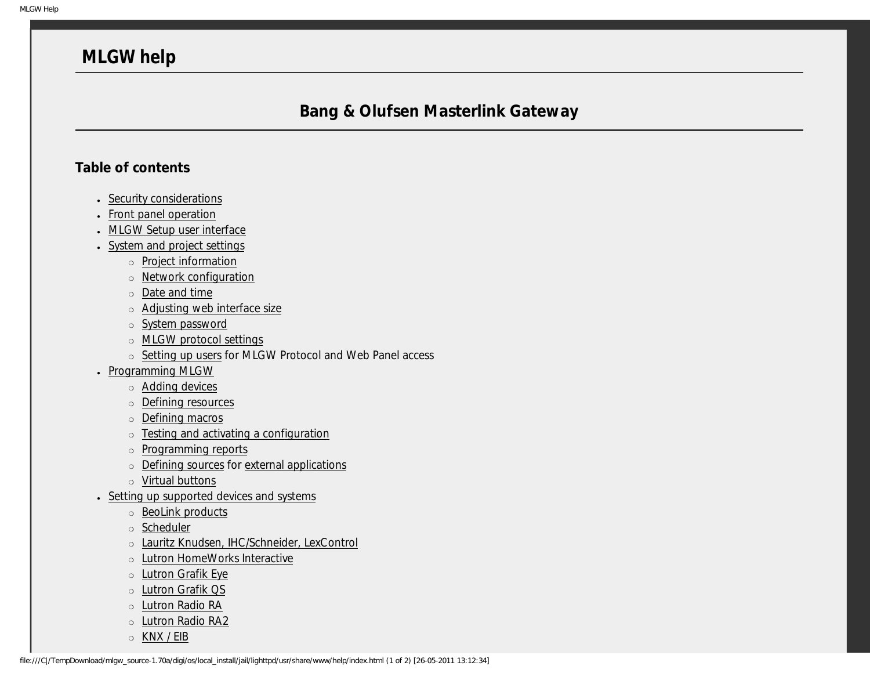# <span id="page-0-0"></span>**MLGW help**

## **Bang & Olufsen Masterlink Gateway**

#### **Table of contents**

- [Security considerations](#page-2-0)
- [Front panel operation](#page-4-0)
- [MLGW Setup user interface](#page-6-0)
- [System and project settings](#page-7-0)
	- ❍ [Project information](#page-7-0)
	- ❍ [Network configuration](#page-8-0)
	- ❍ [Date and time](#page-9-0)
	- ❍ [Adjusting web interface size](#page-9-1)
	- ❍ [System password](#page-10-0)
	- ❍ [MLGW protocol settings](#page-10-1)
	- ❍ [Setting up users](#page-12-0) for MLGW Protocol and Web Panel access
- Programming MLGW
	- ❍ [Adding devices](#page-14-1)
	- ❍ [Defining resources](#page-15-0)
	- ❍ [Defining macros](#page-16-0)
	- ❍ [Testing and activating a configuration](#page-17-0)
	- ❍ [Programming reports](#page-17-1)
	- ❍ [Defining sources](#page-18-0) for [external applications](#page-20-0)
	- ❍ [Virtual buttons](#page-21-0)
- [Setting up supported devices and systems](#page-23-0)
	- o [BeoLink products](#page-23-1)
	- ❍ [Scheduler](#page-26-0)
	- ❍ [Lauritz Knudsen, IHC/Schneider, LexControl](#page-26-1)
	- ❍ [Lutron HomeWorks Interactive](#page-27-0)
	- ❍ [Lutron Grafik Eye](#page-28-0)
	- ❍ [Lutron Grafik QS](#page-29-0)
	- ❍ [Lutron Radio RA](#page-30-0)
	- ❍ [Lutron Radio RA2](#page-31-0)
	- ❍ [KNX / EIB](#page-32-0)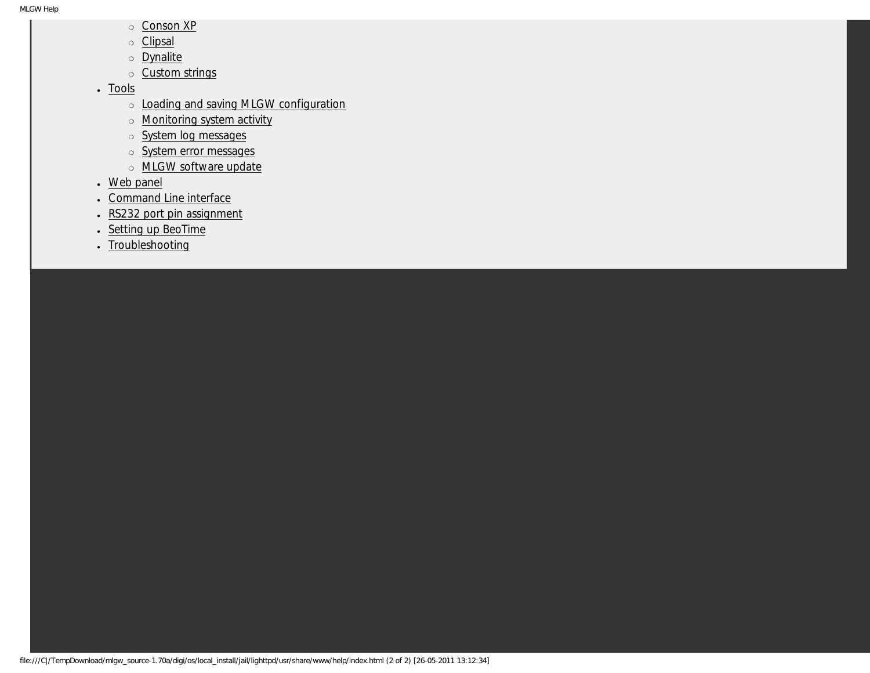MLGW Help

- ❍ [Conson XP](#page-34-0)
- ❍ [Clipsal](#page-35-0)
- ❍ [Dynalite](#page-35-1)
- ❍ [Custom strings](#page-37-0)
- [Tools](#page-40-0)
	- o [Loading and saving MLGW configuration](#page-40-1)
	- ❍ [Monitoring system activity](#page-40-2)
	- ❍ [System log messages](#page-41-0)
	- ❍ [System error messages](#page-41-1)
	- o [MLGW software update](#page-41-2)
- [Web panel](#page-43-0)
- [Command Line interface](#page-45-0)
- [RS232 port pin assignment](#page-48-0)
- [Setting up BeoTime](#page-49-0)
- [Troubleshooting](#page-51-0)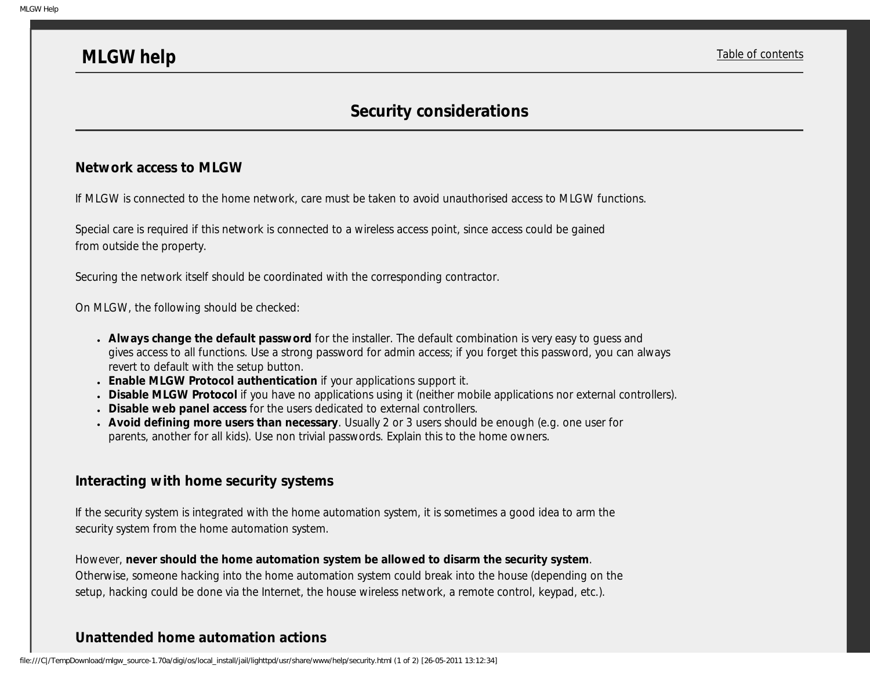## **Security considerations**

#### <span id="page-2-0"></span>**Network access to MLGW**

If MLGW is connected to the home network, care must be taken to avoid unauthorised access to MLGW functions.

Special care is required if this network is connected to a wireless access point, since access could be gained from outside the property.

Securing the network itself should be coordinated with the corresponding contractor.

On MLGW, the following should be checked:

- **Always change the default password** for the installer. The default combination is very easy to quess and gives access to all functions. Use a strong password for admin access; if you forget this password, you can always revert to default with the setup button.
- **Enable MLGW Protocol authentication** if your applications support it.
- **Disable MLGW Protocol** if you have no applications using it (neither mobile applications nor external controllers).
- **Disable web panel access** for the users dedicated to external controllers.
- **Avoid defining more users than necessary**. Usually 2 or 3 users should be enough (e.g. one user for parents, another for all kids). Use non trivial passwords. Explain this to the home owners.

#### **Interacting with home security systems**

If the security system is integrated with the home automation system, it is sometimes a good idea to arm the security system from the home automation system.

However, **never should the home automation system be allowed to disarm the security system**. Otherwise, someone hacking into the home automation system could break into the house (depending on the setup, hacking could be done via the Internet, the house wireless network, a remote control, keypad, etc.).

#### **Unattended home automation actions**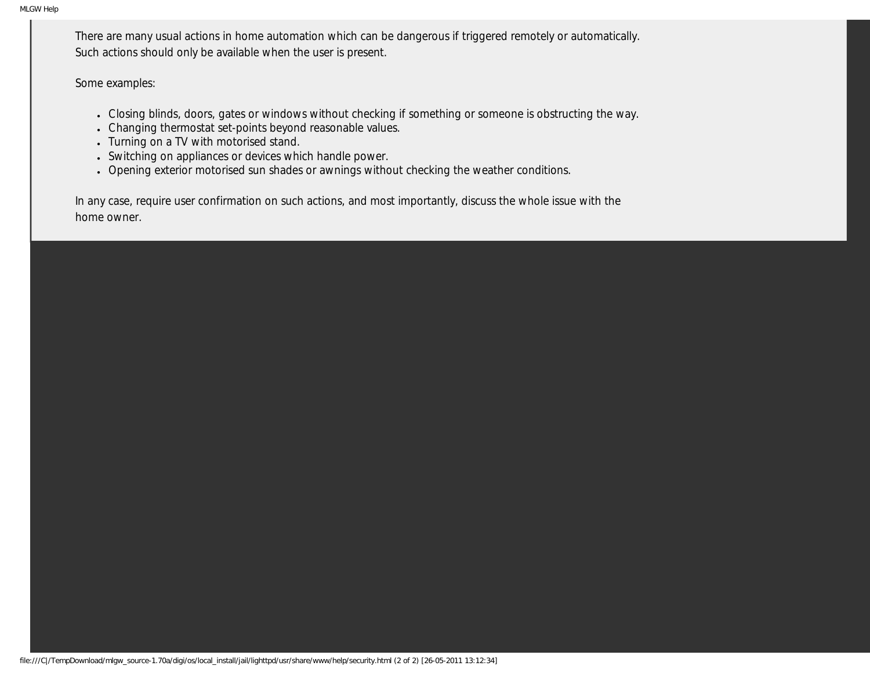There are many usual actions in home automation which can be dangerous if triggered remotely or automatically. Such actions should only be available when the user is present.

Some examples:

- Closing blinds, doors, gates or windows without checking if something or someone is obstructing the way.
- Changing thermostat set-points beyond reasonable values.
- Turning on a TV with motorised stand.
- Switching on appliances or devices which handle power.
- Opening exterior motorised sun shades or awnings without checking the weather conditions.

In any case, require user confirmation on such actions, and most importantly, discuss the whole issue with the home owner.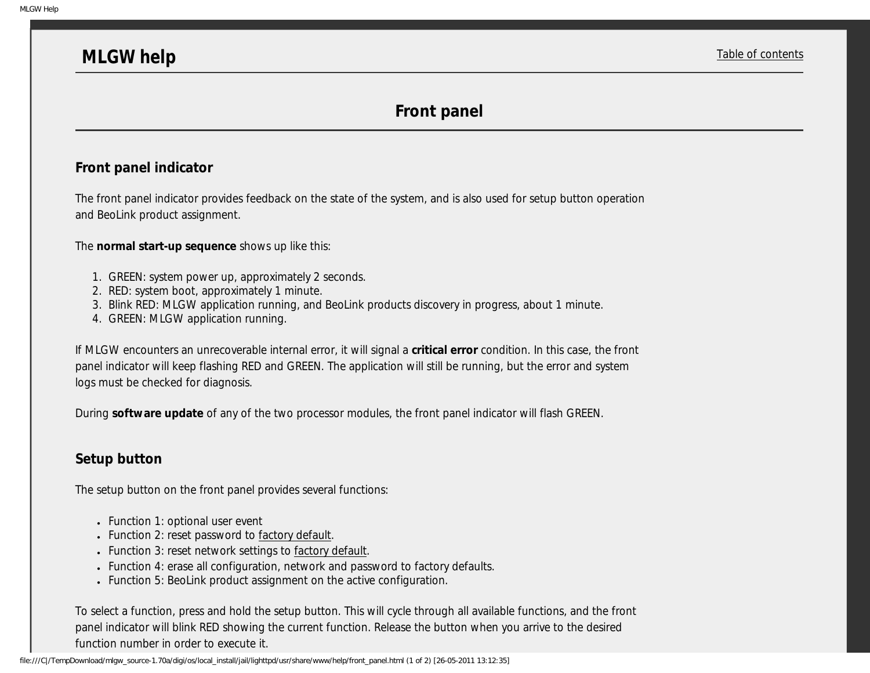## **Front panel**

### <span id="page-4-0"></span>**Front panel indicator**

The front panel indicator provides feedback on the state of the system, and is also used for setup button operation and BeoLink product assignment.

The **normal start-up sequence** shows up like this:

- 1. GREEN: system power up, approximately 2 seconds.
- 2. RED: system boot, approximately 1 minute.
- 3. Blink RED: MLGW application running, and BeoLink products discovery in progress, about 1 minute.
- 4. GREEN: MLGW application running.

If MLGW encounters an unrecoverable internal error, it will signal a **critical error** condition. In this case, the front panel indicator will keep flashing RED and GREEN. The application will still be running, but the error and system logs must be checked for diagnosis.

During **software update** of any of the two processor modules, the front panel indicator will flash GREEN.

### **Setup button**

The setup button on the front panel provides several functions:

- Function 1: optional user event
- Function 2: reset password to [factory default](#page-10-0).
- Function 3: reset network settings to [factory default.](#page-8-0)
- Function 4: erase all configuration, network and password to factory defaults.
- Function 5: BeoLink product assignment on the active configuration.

To select a function, press and hold the setup button. This will cycle through all available functions, and the front panel indicator will blink RED showing the current function. Release the button when you arrive to the desired function number in order to execute it.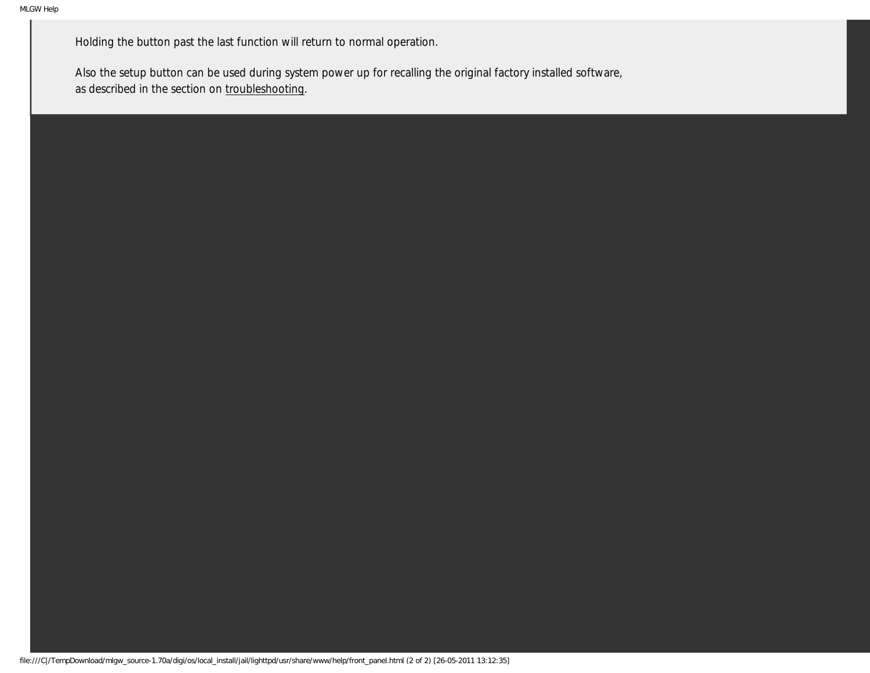Holding the button past the last function will return to normal operation.

Also the setup button can be used during system power up for recalling the original factory installed software, as described in the section on [troubleshooting](#page-51-0).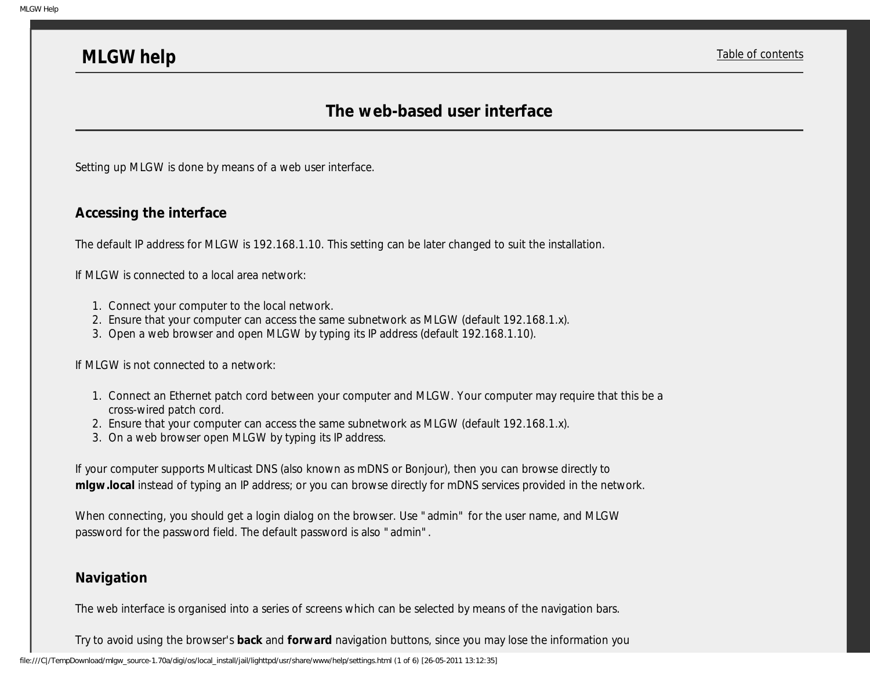### **The web-based user interface**

<span id="page-6-0"></span>Setting up MLGW is done by means of a web user interface.

#### **Accessing the interface**

The default IP address for MLGW is 192.168.1.10. This setting can be later changed to suit the installation.

If MLGW is connected to a local area network:

- 1. Connect your computer to the local network.
- 2. Ensure that your computer can access the same subnetwork as MLGW (default 192.168.1.x).
- 3. Open a web browser and open MLGW by typing its IP address (default 192.168.1.10).

If MLGW is not connected to a network:

- 1. Connect an Ethernet patch cord between your computer and MLGW. Your computer may require that this be a cross-wired patch cord.
- 2. Ensure that your computer can access the same subnetwork as MLGW (default 192.168.1.x).
- 3. On a web browser open MLGW by typing its IP address.

If your computer supports Multicast DNS (also known as mDNS or Bonjour), then you can browse directly to **mlgw.local** instead of typing an IP address; or you can browse directly for mDNS services provided in the network.

When connecting, you should get a login dialog on the browser. Use "admin" for the user name, and MLGW password for the password field. The default password is also "admin".

#### **Navigation**

The web interface is organised into a series of screens which can be selected by means of the navigation bars.

Try to avoid using the browser's **back** and **forward** navigation buttons, since you may lose the information you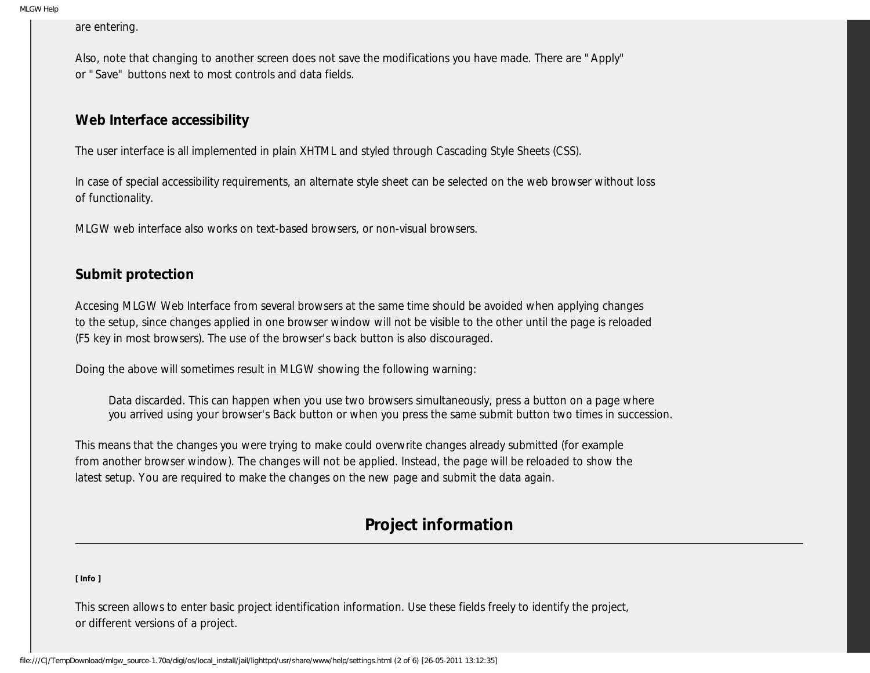#### are entering.

Also, note that changing to another screen does not save the modifications you have made. There are "Apply" or "Save" buttons next to most controls and data fields.

### **Web Interface accessibility**

The user interface is all implemented in plain XHTML and styled through Cascading Style Sheets (CSS).

In case of special accessibility requirements, an alternate style sheet can be selected on the web browser without loss of functionality.

MLGW web interface also works on text-based browsers, or non-visual browsers.

### **Submit protection**

Accesing MLGW Web Interface from several browsers at the same time should be avoided when applying changes to the setup, since changes applied in one browser window will not be visible to the other until the page is reloaded (F5 key in most browsers). The use of the browser's back button is also discouraged.

Doing the above will sometimes result in MLGW showing the following warning:

Data discarded. This can happen when you use two browsers simultaneously, press a button on a page where you arrived using your browser's Back button or when you press the same submit button two times in succession.

<span id="page-7-0"></span>This means that the changes you were trying to make could overwrite changes already submitted (for example from another browser window). The changes will not be applied. Instead, the page will be reloaded to show the latest setup. You are required to make the changes on the new page and submit the data again.

# **Project information**

**[ Info ]**

This screen allows to enter basic project identification information. Use these fields freely to identify the project, or different versions of a project.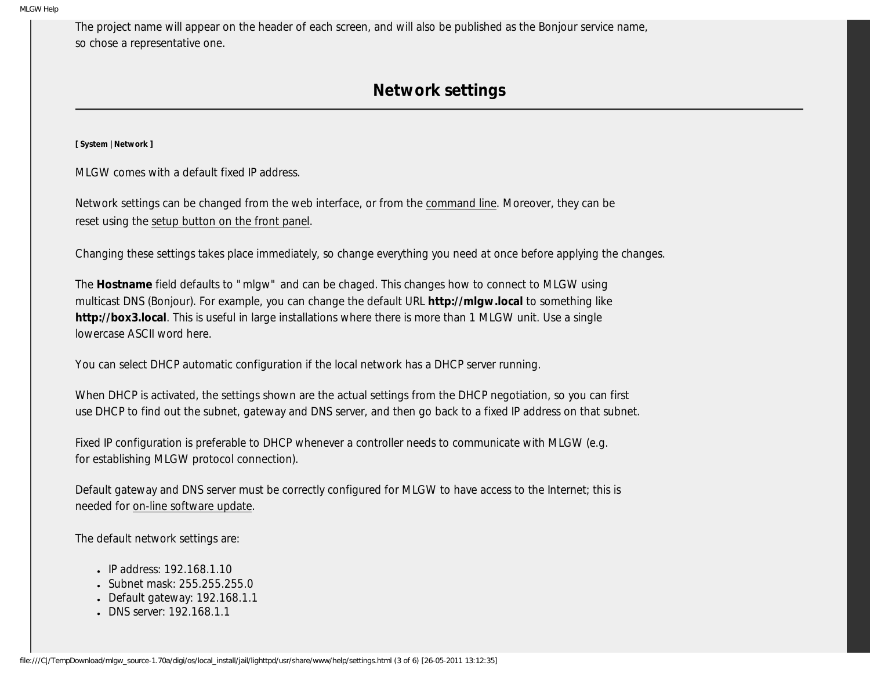<span id="page-8-0"></span>The project name will appear on the header of each screen, and will also be published as the Bonjour service name, so chose a representative one.

## **Network settings**

**[ System | Network ]**

MLGW comes with a default fixed IP address.

Network settings can be changed from the web interface, or from the [command line.](#page-45-0) Moreover, they can be reset using the [setup button on the front panel.](#page-4-0)

Changing these settings takes place immediately, so change everything you need at once before applying the changes.

The **Hostname** field defaults to "mlgw" and can be chaged. This changes how to connect to MLGW using multicast DNS (Bonjour). For example, you can change the default URL **http://mlgw.local** to something like **http://box3.local**. This is useful in large installations where there is more than 1 MLGW unit. Use a single lowercase ASCII word here.

You can select DHCP automatic configuration if the local network has a DHCP server running.

When DHCP is activated, the settings shown are the actual settings from the DHCP negotiation, so you can first use DHCP to find out the subnet, gateway and DNS server, and then go back to a fixed IP address on that subnet.

Fixed IP configuration is preferable to DHCP whenever a controller needs to communicate with MLGW (e.g. for establishing MLGW protocol connection).

Default gateway and DNS server must be correctly configured for MLGW to have access to the Internet; this is needed for [on-line software update](#page-41-2).

The default network settings are:

- IP address: 192.168.1.10
- Subnet mask: 255.255.255.0
- Default gateway: 192.168.1.1
- DNS server: 192.168.1.1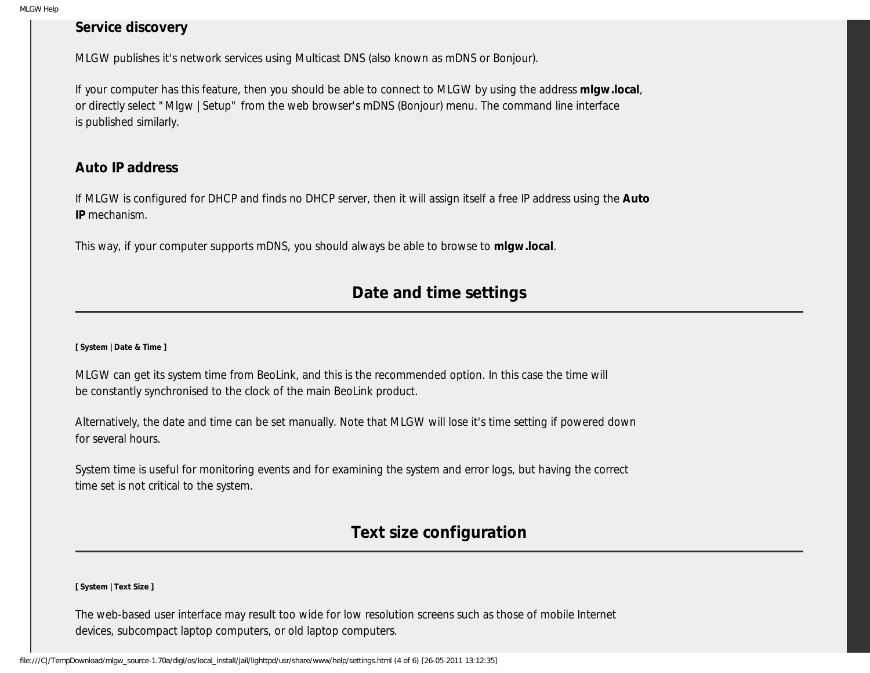### **Service discovery**

MLGW publishes it's network services using Multicast DNS (also known as mDNS or Bonjour).

If your computer has this feature, then you should be able to connect to MLGW by using the address **mlgw.local**, or directly select "Mlgw | Setup" from the web browser's mDNS (Bonjour) menu. The command line interface is published similarly.

### **Auto IP address**

If MLGW is configured for DHCP and finds no DHCP server, then it will assign itself a free IP address using the **Auto IP** mechanism.

<span id="page-9-0"></span>This way, if your computer supports mDNS, you should always be able to browse to **mlgw.local**.

# **Date and time settings**

#### **[ System | Date & Time ]**

MLGW can get its system time from BeoLink, and this is the recommended option. In this case the time will be constantly synchronised to the clock of the main BeoLink product.

Alternatively, the date and time can be set manually. Note that MLGW will lose it's time setting if powered down for several hours.

<span id="page-9-1"></span>System time is useful for monitoring events and for examining the system and error logs, but having the correct time set is not critical to the system.

# **Text size configuration**

#### **[ System | Text Size ]**

The web-based user interface may result too wide for low resolution screens such as those of mobile Internet devices, subcompact laptop computers, or old laptop computers.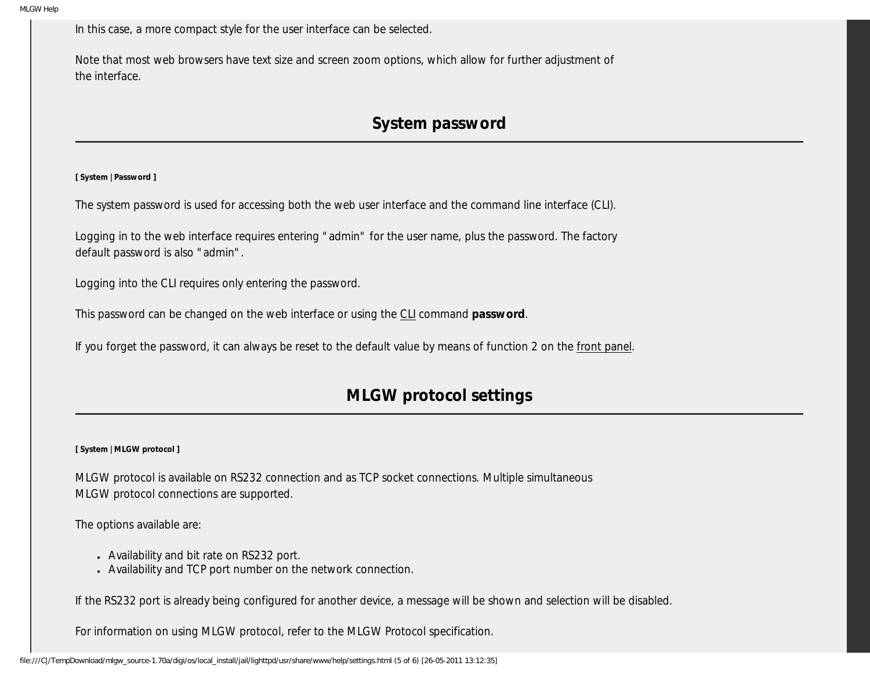In this case, a more compact style for the user interface can be selected.

<span id="page-10-0"></span>Note that most web browsers have text size and screen zoom options, which allow for further adjustment of the interface.

# **System password**

**[ System | Password ]**

The system password is used for accessing both the web user interface and the command line interface (CLI).

Logging in to the web interface requires entering "admin" for the user name, plus the password. The factory default password is also "admin".

Logging into the CLI requires only entering the password.

This password can be changed on the web interface or using the [CLI](#page-45-0) command **password**.

<span id="page-10-1"></span>If you forget the password, it can always be reset to the default value by means of function 2 on the [front panel](#page-4-0).

# **MLGW protocol settings**

**[ System | MLGW protocol ]**

MLGW protocol is available on RS232 connection and as TCP socket connections. Multiple simultaneous MLGW protocol connections are supported.

The options available are:

- Availability and bit rate on RS232 port.
- Availability and TCP port number on the network connection.

If the RS232 port is already being configured for another device, a message will be shown and selection will be disabled.

For information on using MLGW protocol, refer to the MLGW Protocol specification.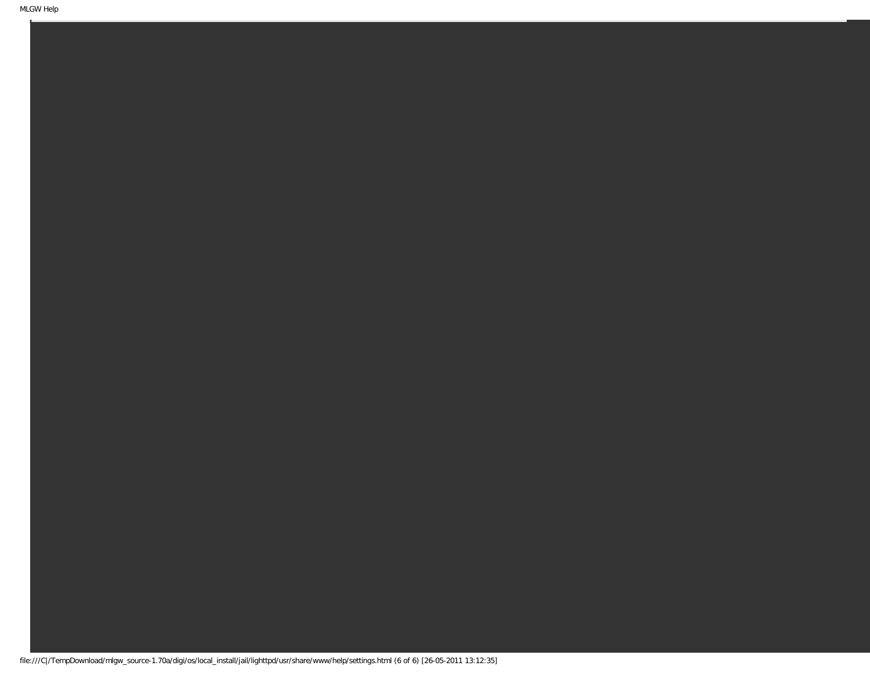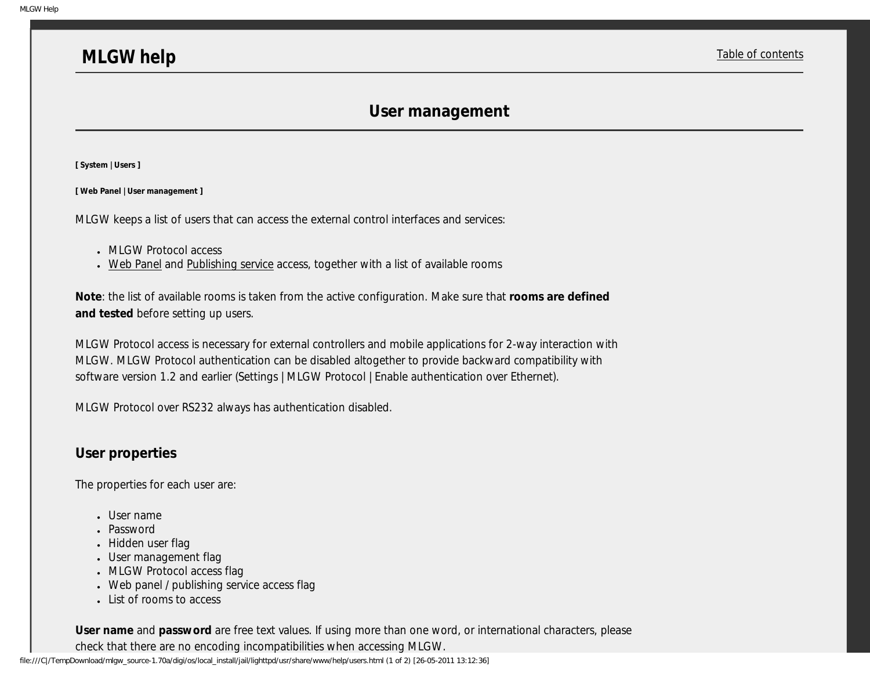### **User management**

<span id="page-12-0"></span>**[ System | Users ]**

**[ Web Panel | User management ]**

MLGW keeps a list of users that can access the external control interfaces and services:

- MLGW Protocol access
- [Web Panel](#page-43-0) and [Publishing service](#page-20-0) access, together with a list of available rooms

**Note**: the list of available rooms is taken from the active configuration. Make sure that **rooms are defined and tested** before setting up users.

MLGW Protocol access is necessary for external controllers and mobile applications for 2-way interaction with MLGW. MLGW Protocol authentication can be disabled altogether to provide backward compatibility with software version 1.2 and earlier (Settings | MLGW Protocol | Enable authentication over Ethernet).

MLGW Protocol over RS232 always has authentication disabled.

### **User properties**

The properties for each user are:

- . User name
- Password
- Hidden user flag
- User management flag
- MLGW Protocol access flag
- Web panel / publishing service access flag
- List of rooms to access

**User name** and **password** are free text values. If using more than one word, or international characters, please

check that there are no encoding incompatibilities when accessing MLGW.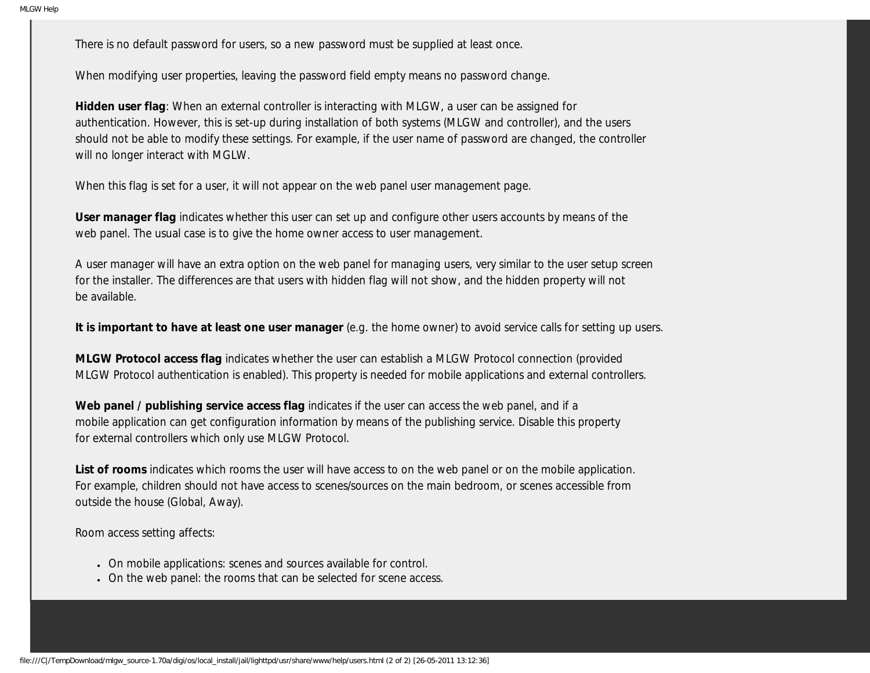There is no default password for users, so a new password must be supplied at least once.

When modifying user properties, leaving the password field empty means no password change.

**Hidden user flag**: When an external controller is interacting with MLGW, a user can be assigned for authentication. However, this is set-up during installation of both systems (MLGW and controller), and the users should not be able to modify these settings. For example, if the user name of password are changed, the controller will no longer interact with MGLW.

When this flag is set for a user, it will not appear on the web panel user management page.

**User manager flag** indicates whether this user can set up and configure other users accounts by means of the web panel. The usual case is to give the home owner access to user management.

A user manager will have an extra option on the web panel for managing users, very similar to the user setup screen for the installer. The differences are that users with hidden flag will not show, and the hidden property will not be available.

**It is important to have at least one user manager** (e.g. the home owner) to avoid service calls for setting up users.

**MLGW Protocol access flag** indicates whether the user can establish a MLGW Protocol connection (provided MLGW Protocol authentication is enabled). This property is needed for mobile applications and external controllers.

Web panel / publishing service access flag indicates if the user can access the web panel, and if a mobile application can get configuration information by means of the publishing service. Disable this property for external controllers which only use MLGW Protocol.

List of rooms indicates which rooms the user will have access to on the web panel or on the mobile application. For example, children should not have access to scenes/sources on the main bedroom, or scenes accessible from outside the house (Global, Away).

Room access setting affects:

- On mobile applications: scenes and sources available for control.
- On the web panel: the rooms that can be selected for scene access.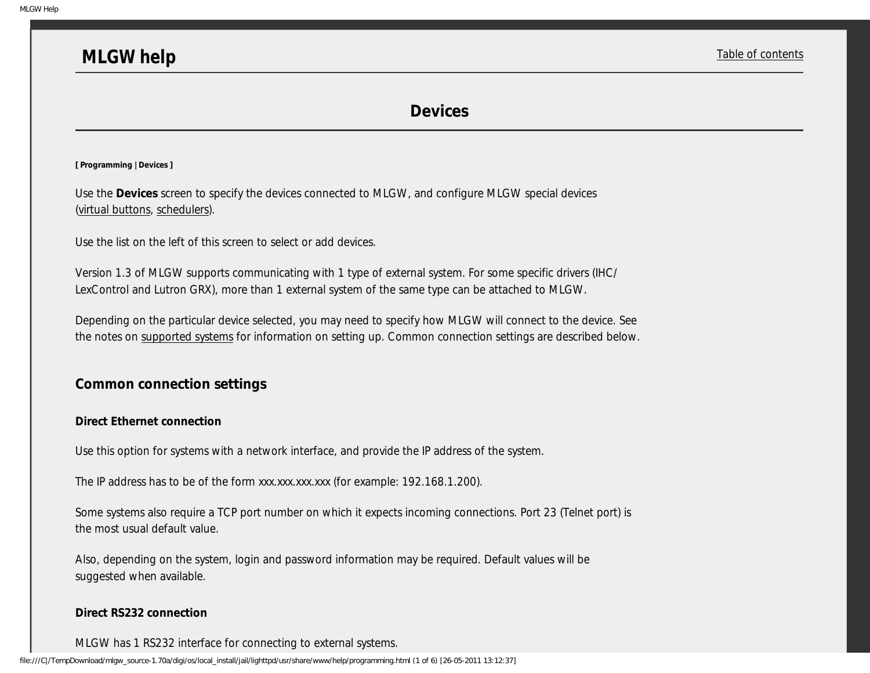### **Devices**

<span id="page-14-1"></span><span id="page-14-0"></span>**[ Programming | Devices ]**

Use the **Devices** screen to specify the devices connected to MLGW, and configure MLGW special devices [\(virtual buttons,](#page-21-0) [schedulers\)](#page-26-0).

Use the list on the left of this screen to select or add devices.

Version 1.3 of MLGW supports communicating with 1 type of external system. For some specific drivers (IHC/ LexControl and Lutron GRX), more than 1 external system of the same type can be attached to MLGW.

Depending on the particular device selected, you may need to specify how MLGW will connect to the device. See the notes on [supported systems](#page-23-0) for information on setting up. Common connection settings are described below.

#### **Common connection settings**

#### **Direct Ethernet connection**

Use this option for systems with a network interface, and provide the IP address of the system.

The IP address has to be of the form xxx.xxx.xxx.xxx (for example: 192.168.1.200).

Some systems also require a TCP port number on which it expects incoming connections. Port 23 (Telnet port) is the most usual default value.

Also, depending on the system, login and password information may be required. Default values will be suggested when available.

#### **Direct RS232 connection**

MLGW has 1 RS232 interface for connecting to external systems.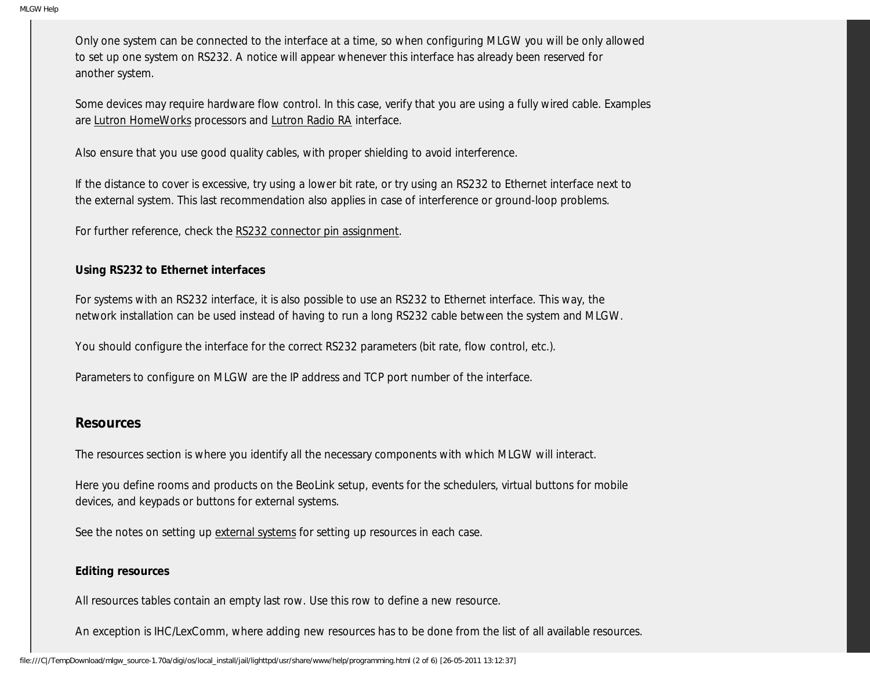Only one system can be connected to the interface at a time, so when configuring MLGW you will be only allowed to set up one system on RS232. A notice will appear whenever this interface has already been reserved for another system.

Some devices may require hardware flow control. In this case, verify that you are using a fully wired cable. Examples are [Lutron HomeWorks](#page-27-0) processors and [Lutron Radio RA](#page-30-0) interface.

Also ensure that you use good quality cables, with proper shielding to avoid interference.

If the distance to cover is excessive, try using a lower bit rate, or try using an RS232 to Ethernet interface next to the external system. This last recommendation also applies in case of interference or ground-loop problems.

For further reference, check the [RS232 connector pin assignment](#page-48-0).

#### **Using RS232 to Ethernet interfaces**

For systems with an RS232 interface, it is also possible to use an RS232 to Ethernet interface. This way, the network installation can be used instead of having to run a long RS232 cable between the system and MLGW.

You should configure the interface for the correct RS232 parameters (bit rate, flow control, etc.).

Parameters to configure on MLGW are the IP address and TCP port number of the interface.

#### <span id="page-15-0"></span>**Resources**

The resources section is where you identify all the necessary components with which MLGW will interact.

Here you define rooms and products on the BeoLink setup, events for the schedulers, virtual buttons for mobile devices, and keypads or buttons for external systems.

See the notes on setting up [external systems](#page-23-0) for setting up resources in each case.

#### **Editing resources**

All resources tables contain an empty last row. Use this row to define a new resource.

An exception is IHC/LexComm, where adding new resources has to be done from the list of all available resources.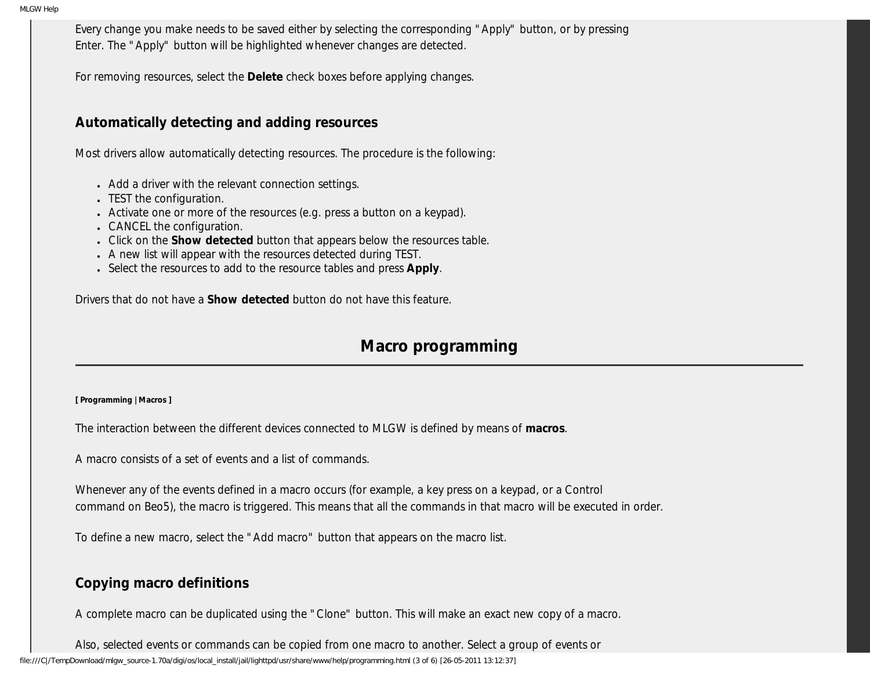Every change you make needs to be saved either by selecting the corresponding "Apply" button, or by pressing Enter. The "Apply" button will be highlighted whenever changes are detected.

For removing resources, select the **Delete** check boxes before applying changes.

### **Automatically detecting and adding resources**

Most drivers allow automatically detecting resources. The procedure is the following:

- Add a driver with the relevant connection settings.
- TEST the configuration.
- Activate one or more of the resources (e.g. press a button on a keypad).
- CANCEL the configuration.
- Click on the **Show detected** button that appears below the resources table.
- A new list will appear with the resources detected during TEST.
- Select the resources to add to the resource tables and press Apply.

<span id="page-16-0"></span>Drivers that do not have a **Show detected** button do not have this feature.

# **Macro programming**

#### **[ Programming | Macros ]**

The interaction between the different devices connected to MLGW is defined by means of **macros**.

A macro consists of a set of events and a list of commands.

Whenever any of the events defined in a macro occurs (for example, a key press on a keypad, or a Control command on Beo5), the macro is triggered. This means that all the commands in that macro will be executed in order.

To define a new macro, select the "Add macro" button that appears on the macro list.

## **Copying macro definitions**

A complete macro can be duplicated using the "Clone" button. This will make an exact new copy of a macro.

Also, selected events or commands can be copied from one macro to another. Select a group of events or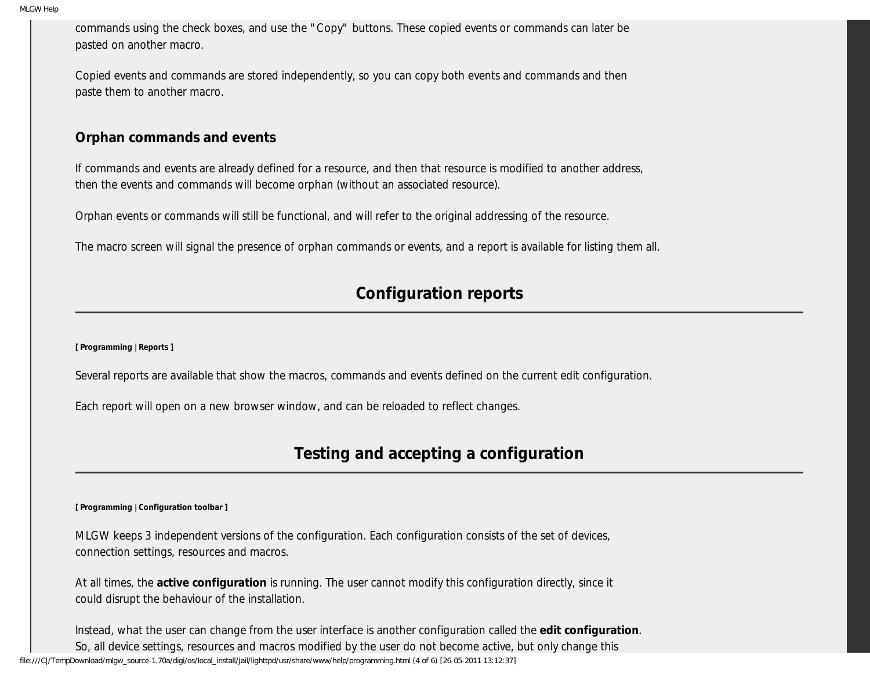commands using the check boxes, and use the "Copy" buttons. These copied events or commands can later be pasted on another macro.

Copied events and commands are stored independently, so you can copy both events and commands and then paste them to another macro.

#### **Orphan commands and events**

If commands and events are already defined for a resource, and then that resource is modified to another address, then the events and commands will become orphan (without an associated resource).

Orphan events or commands will still be functional, and will refer to the original addressing of the resource.

<span id="page-17-1"></span>The macro screen will signal the presence of orphan commands or events, and a report is available for listing them all.

## **Configuration reports**

**[ Programming | Reports ]**

Several reports are available that show the macros, commands and events defined on the current edit configuration.

<span id="page-17-0"></span>Each report will open on a new browser window, and can be reloaded to reflect changes.

# **Testing and accepting a configuration**

#### **[ Programming | Configuration toolbar ]**

MLGW keeps 3 independent versions of the configuration. Each configuration consists of the set of devices, connection settings, resources and macros.

At all times, the **active configuration** is running. The user cannot modify this configuration directly, since it could disrupt the behaviour of the installation.

Instead, what the user can change from the user interface is another configuration called the **edit configuration**. So, all device settings, resources and macros modified by the user do not become active, but only change this

file:///C|/TempDownload/mlgw\_source-1.70a/digi/os/local\_install/jail/lighttpd/usr/share/www/help/programming.html (4 of 6) [26-05-2011 13:12:37]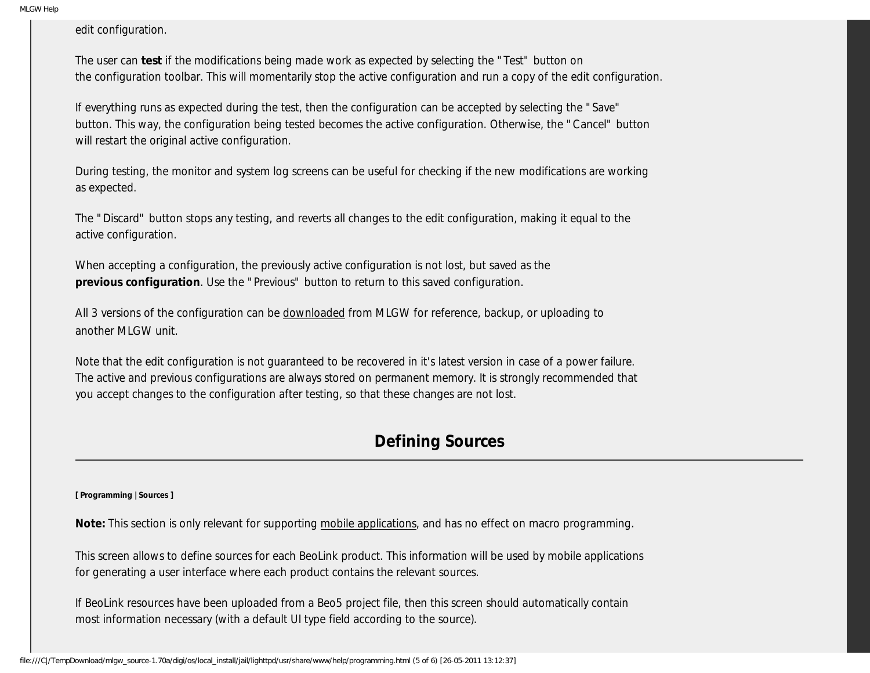#### edit configuration.

The user can **test** if the modifications being made work as expected by selecting the "Test" button on the configuration toolbar. This will momentarily stop the active configuration and run a copy of the edit configuration.

If everything runs as expected during the test, then the configuration can be accepted by selecting the "Save" button. This way, the configuration being tested becomes the active configuration. Otherwise, the "Cancel" button will restart the original active configuration.

During testing, the monitor and system log screens can be useful for checking if the new modifications are working as expected.

The "Discard" button stops any testing, and reverts all changes to the edit configuration, making it equal to the active configuration.

When accepting a configuration, the previously active configuration is not lost, but saved as the **previous configuration**. Use the "Previous" button to return to this saved configuration.

All 3 versions of the configuration can be [downloaded](#page-40-1) from MLGW for reference, backup, or uploading to another MLGW unit

<span id="page-18-0"></span>Note that the edit configuration is not guaranteed to be recovered in it's latest version in case of a power failure. The active and previous configurations are always stored on permanent memory. It is strongly recommended that you accept changes to the configuration after testing, so that these changes are not lost.

## **Defining Sources**

#### **[ Programming | Sources ]**

**Note:** This section is only relevant for supporting [mobile applications,](#page-20-0) and has no effect on macro programming.

This screen allows to define sources for each BeoLink product. This information will be used by mobile applications for generating a user interface where each product contains the relevant sources.

If BeoLink resources have been uploaded from a Beo5 project file, then this screen should automatically contain most information necessary (with a default UI type field according to the source).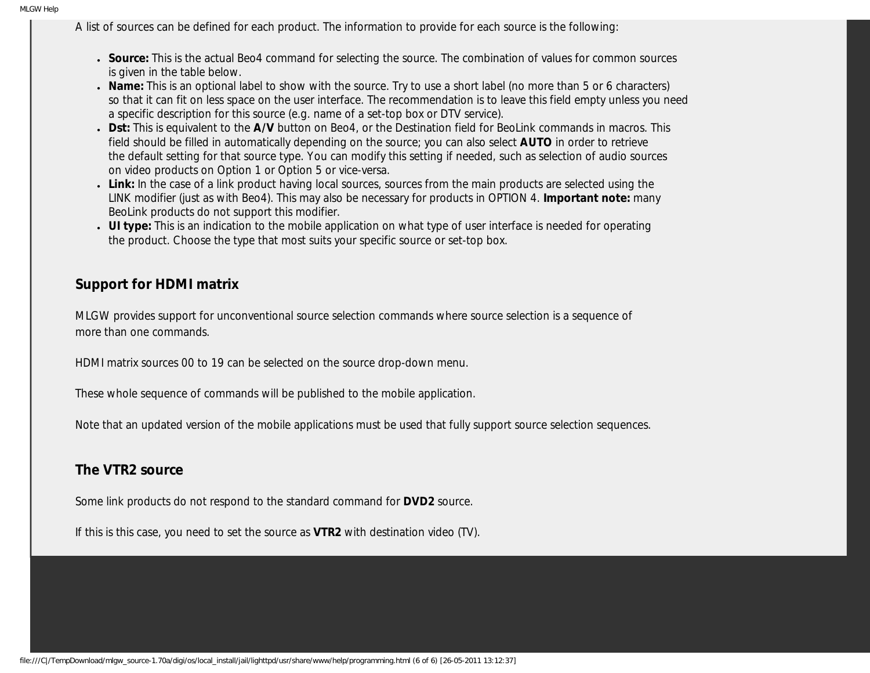A list of sources can be defined for each product. The information to provide for each source is the following:

- **Source:** This is the actual Beo4 command for selecting the source. The combination of values for common sources is given in the table below.
- **Name:** This is an optional label to show with the source. Try to use a short label (no more than 5 or 6 characters) so that it can fit on less space on the user interface. The recommendation is to leave this field empty unless you need a specific description for this source (e.g. name of a set-top box or DTV service).
- **Dst:** This is equivalent to the **A/V** button on Beo4, or the Destination field for BeoLink commands in macros. This field should be filled in automatically depending on the source; you can also select **AUTO** in order to retrieve the default setting for that source type. You can modify this setting if needed, such as selection of audio sources on video products on Option 1 or Option 5 or vice-versa.
- Link: In the case of a link product having local sources, sources from the main products are selected using the LINK modifier (just as with Beo4). This may also be necessary for products in OPTION 4. **Important note:** many BeoLink products do not support this modifier.
- **UI type:** This is an indication to the mobile application on what type of user interface is needed for operating the product. Choose the type that most suits your specific source or set-top box.

## **Support for HDMI matrix**

MLGW provides support for unconventional source selection commands where source selection is a sequence of more than one commands.

HDMI matrix sources 00 to 19 can be selected on the source drop-down menu.

These whole sequence of commands will be published to the mobile application.

Note that an updated version of the mobile applications must be used that fully support source selection sequences.

## **The VTR2 source**

Some link products do not respond to the standard command for **DVD2** source.

If this is this case, you need to set the source as **VTR2** with destination video (TV).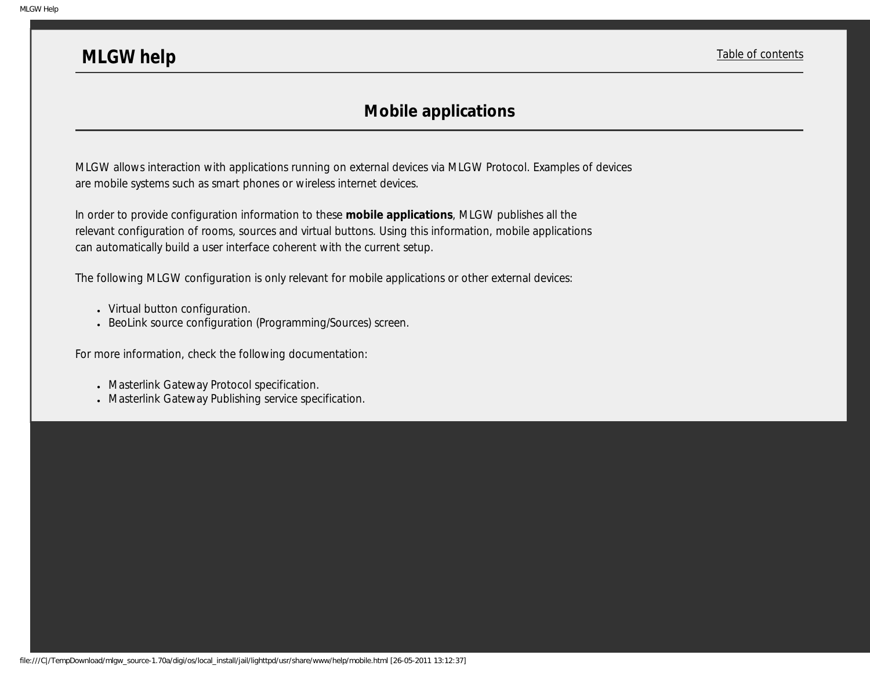## **Mobile applications**

<span id="page-20-0"></span>MLGW allows interaction with applications running on external devices via MLGW Protocol. Examples of devices are mobile systems such as smart phones or wireless internet devices.

In order to provide configuration information to these **mobile applications**, MLGW publishes all the relevant configuration of rooms, sources and virtual buttons. Using this information, mobile applications can automatically build a user interface coherent with the current setup.

The following MLGW configuration is only relevant for mobile applications or other external devices:

- Virtual button configuration.
- BeoLink source configuration (Programming/Sources) screen.

For more information, check the following documentation:

- Masterlink Gateway Protocol specification.
- Masterlink Gateway Publishing service specification.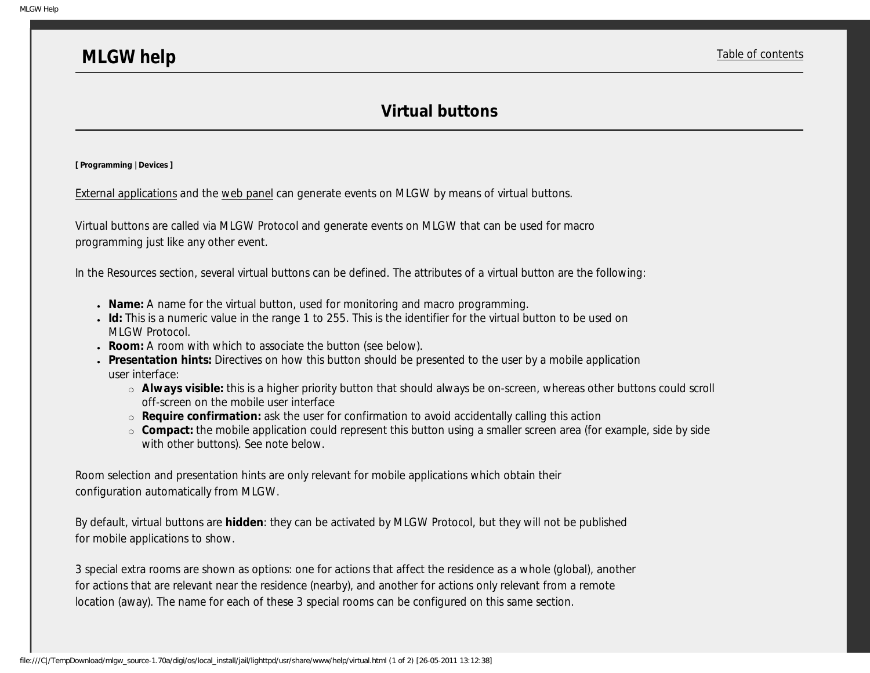## **Virtual buttons**

<span id="page-21-0"></span>**[ Programming | Devices ]**

[External applications](#page-20-0) and the [web panel](#page-43-0) can generate events on MLGW by means of virtual buttons.

Virtual buttons are called via MLGW Protocol and generate events on MLGW that can be used for macro programming just like any other event.

In the Resources section, several virtual buttons can be defined. The attributes of a virtual button are the following:

- **Name:** A name for the virtual button, used for monitoring and macro programming.
- Id: This is a numeric value in the range 1 to 255. This is the identifier for the virtual button to be used on MLGW Protocol.
- **Room:** A room with which to associate the button (see below).
- Presentation hints: Directives on how this button should be presented to the user by a mobile application user interface:
	- ❍ **Always visible:** this is a higher priority button that should always be on-screen, whereas other buttons could scroll off-screen on the mobile user interface
	- ❍ **Require confirmation:** ask the user for confirmation to avoid accidentally calling this action
	- ❍ **Compact:** the mobile application could represent this button using a smaller screen area (for example, side by side with other buttons). See note below.

Room selection and presentation hints are only relevant for mobile applications which obtain their configuration automatically from MLGW.

By default, virtual buttons are **hidden**: they can be activated by MLGW Protocol, but they will not be published for mobile applications to show.

3 special extra rooms are shown as options: one for actions that affect the residence as a whole (global), another for actions that are relevant near the residence (nearby), and another for actions only relevant from a remote location (away). The name for each of these 3 special rooms can be configured on this same section.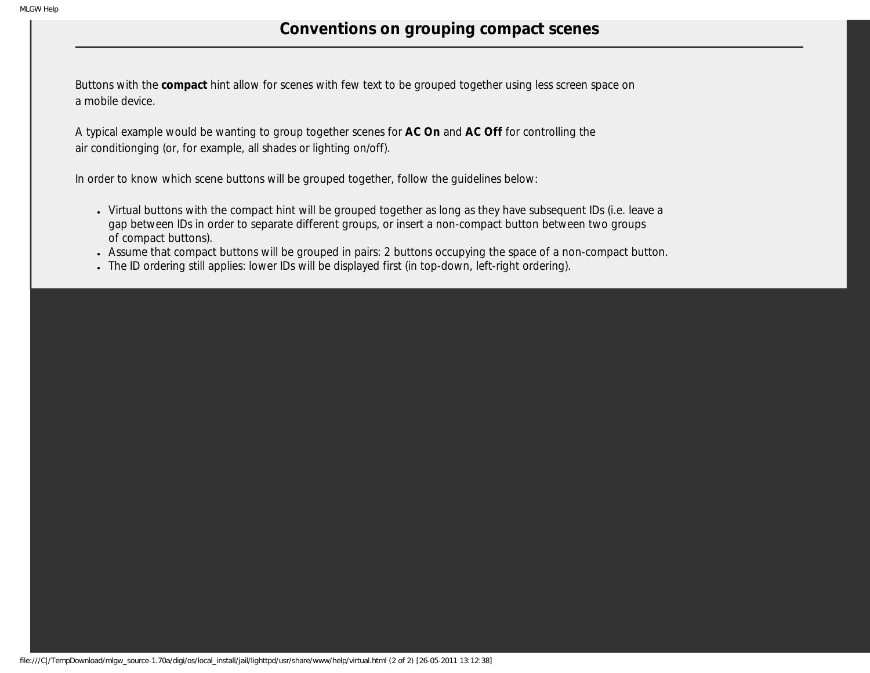## **Conventions on grouping compact scenes**

Buttons with the **compact** hint allow for scenes with few text to be grouped together using less screen space on a mobile device.

A typical example would be wanting to group together scenes for **AC On** and **AC Off** for controlling the air conditionging (or, for example, all shades or lighting on/off).

In order to know which scene buttons will be grouped together, follow the guidelines below:

- Virtual buttons with the compact hint will be grouped together as long as they have subsequent IDs (i.e. leave a gap between IDs in order to separate different groups, or insert a non-compact button between two groups of compact buttons).
- Assume that compact buttons will be grouped in pairs: 2 buttons occupying the space of a non-compact button.
- The ID ordering still applies: lower IDs will be displayed first (in top-down, left-right ordering).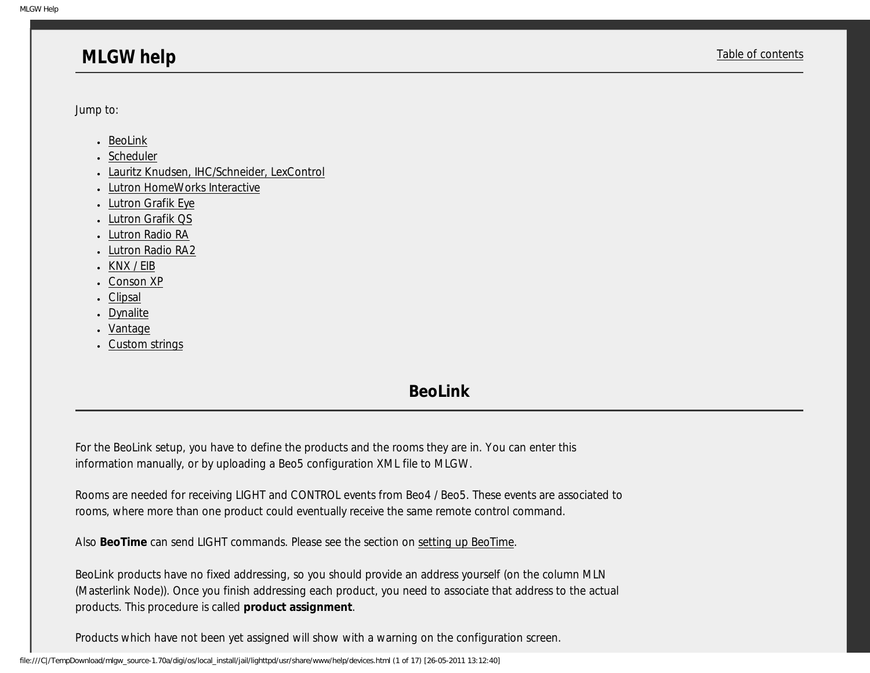<span id="page-23-0"></span>Jump to:

- [BeoLink](#page-23-1)
- [Scheduler](#page-26-0)
- [Lauritz Knudsen, IHC/Schneider, LexControl](#page-26-1)
- [Lutron HomeWorks Interactive](#page-27-0)
- [Lutron Grafik Eye](#page-28-0)
- [Lutron Grafik QS](#page-29-0)
- [Lutron Radio RA](#page-30-0)
- [Lutron Radio RA2](#page-31-0)
- $\cdot$  [KNX / EIB](#page-32-0)
- [Conson XP](#page-34-0)
- [Clipsal](#page-35-0)
- [Dynalite](#page-35-1)
- [Vantage](#page-36-0)
- <span id="page-23-1"></span>• [Custom strings](#page-37-0)

# **BeoLink**

For the BeoLink setup, you have to define the products and the rooms they are in. You can enter this information manually, or by uploading a Beo5 configuration XML file to MLGW.

Rooms are needed for receiving LIGHT and CONTROL events from Beo4 / Beo5. These events are associated to rooms, where more than one product could eventually receive the same remote control command.

Also **BeoTime** can send LIGHT commands. Please see the section on [setting up BeoTime.](#page-49-0)

BeoLink products have no fixed addressing, so you should provide an address yourself (on the column MLN (Masterlink Node)). Once you finish addressing each product, you need to associate that address to the actual products. This procedure is called **product assignment**.

Products which have not been yet assigned will show with a warning on the configuration screen.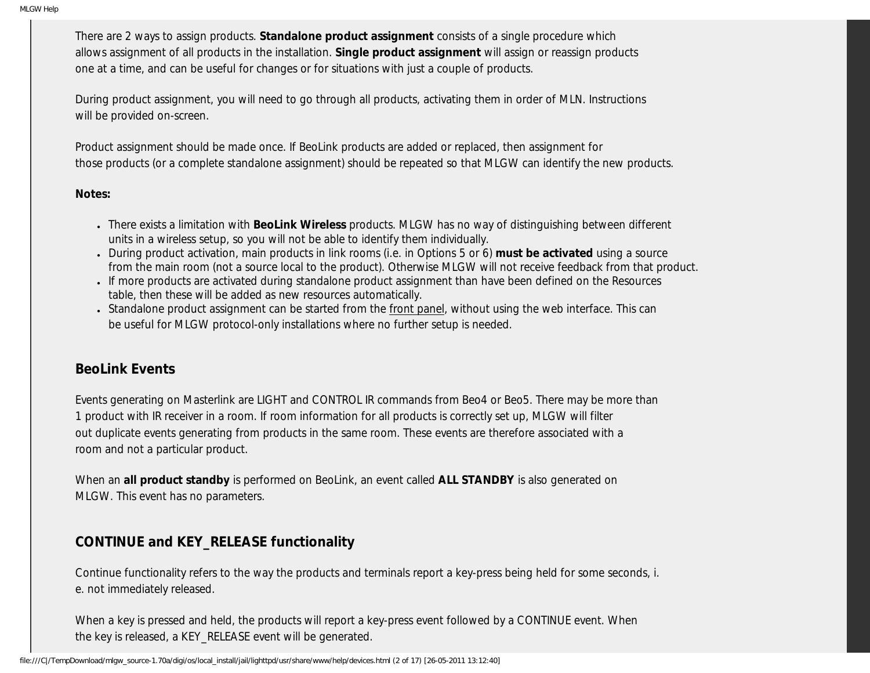There are 2 ways to assign products. **Standalone product assignment** consists of a single procedure which allows assignment of all products in the installation. **Single product assignment** will assign or reassign products one at a time, and can be useful for changes or for situations with just a couple of products.

During product assignment, you will need to go through all products, activating them in order of MLN. Instructions will be provided on-screen.

Product assignment should be made once. If BeoLink products are added or replaced, then assignment for those products (or a complete standalone assignment) should be repeated so that MLGW can identify the new products.

#### **Notes:**

- There exists a limitation with **BeoLink Wireless** products. MLGW has no way of distinguishing between different units in a wireless setup, so you will not be able to identify them individually.
- During product activation, main products in link rooms (i.e. in Options 5 or 6) **must be activated** using a source from the main room (not a source local to the product). Otherwise MLGW will not receive feedback from that product.
- If more products are activated during standalone product assignment than have been defined on the Resources table, then these will be added as new resources automatically.
- Standalone product assignment can be started from the [front panel,](#page-4-0) without using the web interface. This can be useful for MLGW protocol-only installations where no further setup is needed.

#### **BeoLink Events**

Events generating on Masterlink are LIGHT and CONTROL IR commands from Beo4 or Beo5. There may be more than 1 product with IR receiver in a room. If room information for all products is correctly set up, MLGW will filter out duplicate events generating from products in the same room. These events are therefore associated with a room and not a particular product.

When an **all product standby** is performed on BeoLink, an event called **ALL STANDBY** is also generated on MLGW. This event has no parameters.

### **CONTINUE and KEY\_RELEASE functionality**

Continue functionality refers to the way the products and terminals report a key-press being held for some seconds, i. e. not immediately released.

When a key is pressed and held, the products will report a key-press event followed by a CONTINUE event. When the key is released, a KEY\_RELEASE event will be generated.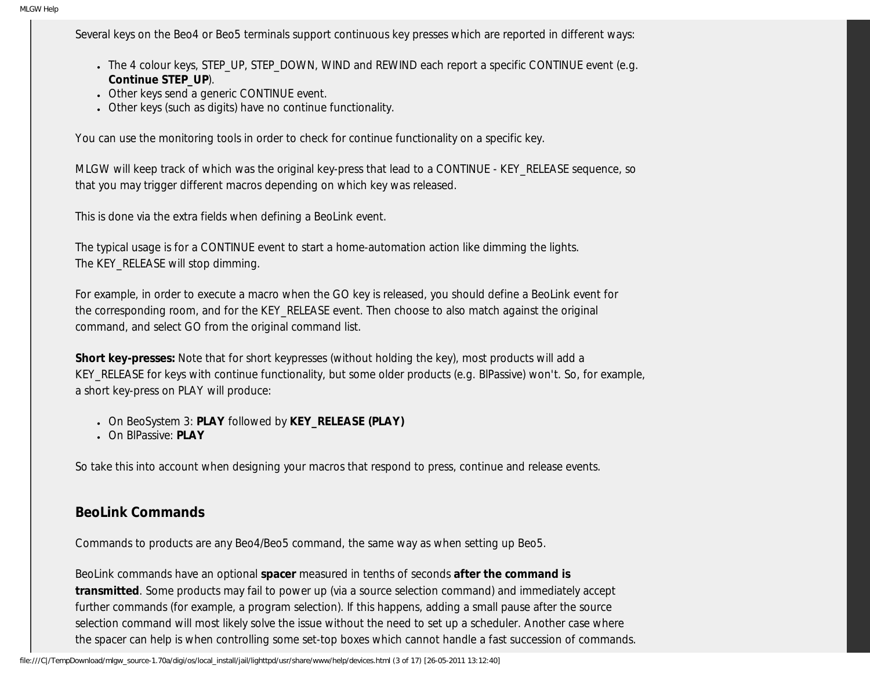Several keys on the Beo4 or Beo5 terminals support continuous key presses which are reported in different ways:

- The 4 colour keys, STEP\_UP, STEP\_DOWN, WIND and REWIND each report a specific CONTINUE event (e.g. **Continue STEP\_UP**).
- Other keys send a generic CONTINUE event.
- Other keys (such as digits) have no continue functionality.

You can use the monitoring tools in order to check for continue functionality on a specific key.

MLGW will keep track of which was the original key-press that lead to a CONTINUE - KEY\_RELEASE sequence, so that you may trigger different macros depending on which key was released.

This is done via the extra fields when defining a BeoLink event.

The typical usage is for a CONTINUE event to start a home-automation action like dimming the lights. The KEY\_RELEASE will stop dimming.

For example, in order to execute a macro when the GO key is released, you should define a BeoLink event for the corresponding room, and for the KEY\_RELEASE event. Then choose to also match against the original command, and select GO from the original command list.

**Short key-presses:** Note that for short keypresses (without holding the key), most products will add a KEY\_RELEASE for keys with continue functionality, but some older products (e.g. BlPassive) won't. So, for example, a short key-press on PLAY will produce:

- On BeoSystem 3: **PLAY** followed by **KEY\_RELEASE (PLAY)**
- On BlPassive: **PLAY**

So take this into account when designing your macros that respond to press, continue and release events.

## **BeoLink Commands**

Commands to products are any Beo4/Beo5 command, the same way as when setting up Beo5.

BeoLink commands have an optional **spacer** measured in tenths of seconds **after the command is transmitted**. Some products may fail to power up (via a source selection command) and immediately accept further commands (for example, a program selection). If this happens, adding a small pause after the source selection command will most likely solve the issue without the need to set up a scheduler. Another case where the spacer can help is when controlling some set-top boxes which cannot handle a fast succession of commands.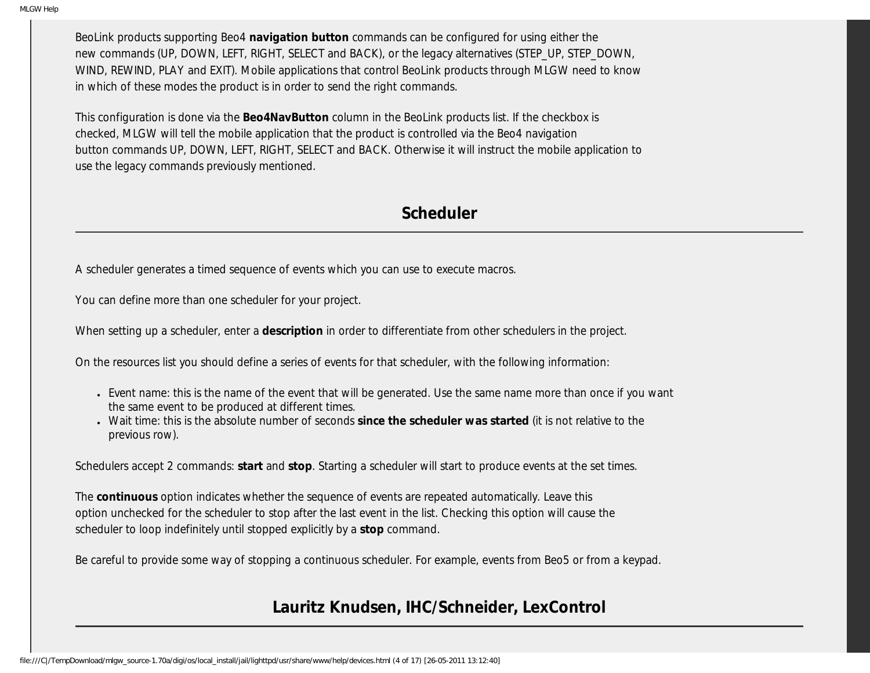BeoLink products supporting Beo4 **navigation button** commands can be configured for using either the new commands (UP, DOWN, LEFT, RIGHT, SELECT and BACK), or the legacy alternatives (STEP\_UP, STEP\_DOWN, WIND, REWIND, PLAY and EXIT). Mobile applications that control BeoLink products through MLGW need to know in which of these modes the product is in order to send the right commands.

This configuration is done via the **Beo4NavButton** column in the BeoLink products list. If the checkbox is checked, MLGW will tell the mobile application that the product is controlled via the Beo4 navigation button commands UP, DOWN, LEFT, RIGHT, SELECT and BACK. Otherwise it will instruct the mobile application to use the legacy commands previously mentioned.

## **Scheduler**

<span id="page-26-0"></span>A scheduler generates a timed sequence of events which you can use to execute macros.

You can define more than one scheduler for your project.

When setting up a scheduler, enter a **description** in order to differentiate from other schedulers in the project.

On the resources list you should define a series of events for that scheduler, with the following information:

- Event name: this is the name of the event that will be generated. Use the same name more than once if you want the same event to be produced at different times.
- Wait time: this is the absolute number of seconds **since the scheduler was started** (it is not relative to the previous row).

Schedulers accept 2 commands: **start** and **stop**. Starting a scheduler will start to produce events at the set times.

The **continuous** option indicates whether the sequence of events are repeated automatically. Leave this option unchecked for the scheduler to stop after the last event in the list. Checking this option will cause the scheduler to loop indefinitely until stopped explicitly by a **stop** command.

Be careful to provide some way of stopping a continuous scheduler. For example, events from Beo5 or from a keypad.

## **Lauritz Knudsen, IHC/Schneider, LexControl**

<span id="page-26-1"></span>file:///C|/TempDownload/mlgw\_source-1.70a/digi/os/local\_install/jail/lighttpd/usr/share/www/help/devices.html (4 of 17) [26-05-2011 13:12:40]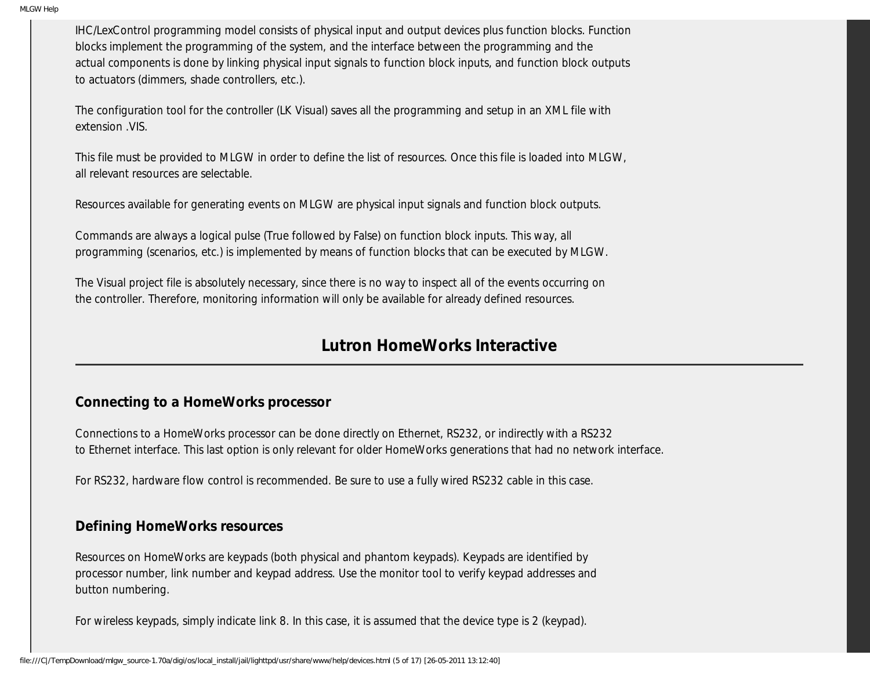IHC/LexControl programming model consists of physical input and output devices plus function blocks. Function blocks implement the programming of the system, and the interface between the programming and the actual components is done by linking physical input signals to function block inputs, and function block outputs to actuators (dimmers, shade controllers, etc.).

The configuration tool for the controller (LK Visual) saves all the programming and setup in an XML file with extension .VIS.

This file must be provided to MLGW in order to define the list of resources. Once this file is loaded into MLGW, all relevant resources are selectable.

Resources available for generating events on MLGW are physical input signals and function block outputs.

Commands are always a logical pulse (True followed by False) on function block inputs. This way, all programming (scenarios, etc.) is implemented by means of function blocks that can be executed by MLGW.

<span id="page-27-0"></span>The Visual project file is absolutely necessary, since there is no way to inspect all of the events occurring on the controller. Therefore, monitoring information will only be available for already defined resources.

## **Lutron HomeWorks Interactive**

### **Connecting to a HomeWorks processor**

Connections to a HomeWorks processor can be done directly on Ethernet, RS232, or indirectly with a RS232 to Ethernet interface. This last option is only relevant for older HomeWorks generations that had no network interface.

For RS232, hardware flow control is recommended. Be sure to use a fully wired RS232 cable in this case.

#### **Defining HomeWorks resources**

Resources on HomeWorks are keypads (both physical and phantom keypads). Keypads are identified by processor number, link number and keypad address. Use the monitor tool to verify keypad addresses and button numbering.

For wireless keypads, simply indicate link 8. In this case, it is assumed that the device type is 2 (keypad).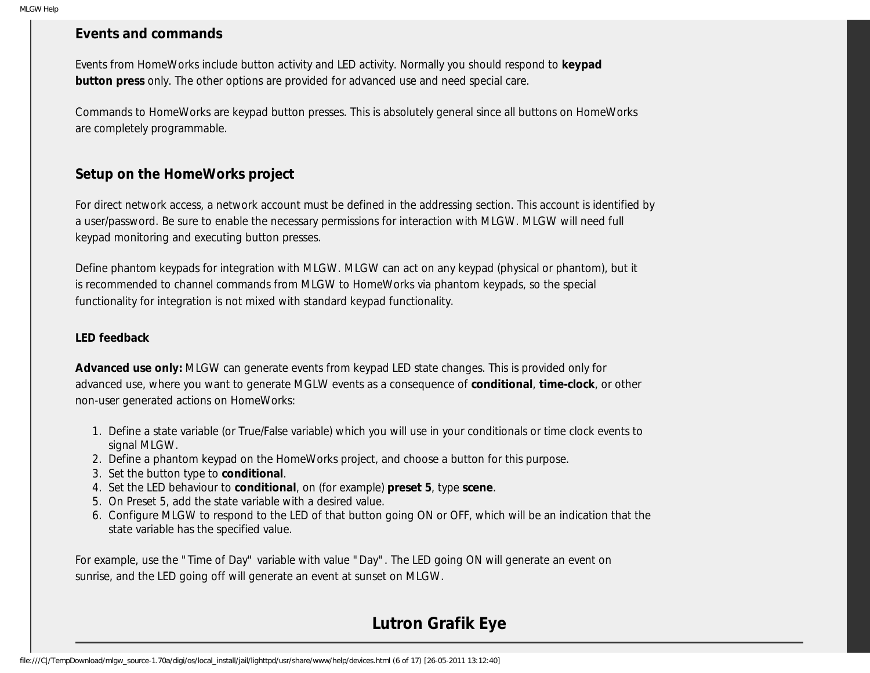#### **Events and commands**

Events from HomeWorks include button activity and LED activity. Normally you should respond to **keypad button press** only. The other options are provided for advanced use and need special care.

Commands to HomeWorks are keypad button presses. This is absolutely general since all buttons on HomeWorks are completely programmable.

## **Setup on the HomeWorks project**

For direct network access, a network account must be defined in the addressing section. This account is identified by a user/password. Be sure to enable the necessary permissions for interaction with MLGW. MLGW will need full keypad monitoring and executing button presses.

Define phantom keypads for integration with MLGW. MLGW can act on any keypad (physical or phantom), but it is recommended to channel commands from MLGW to HomeWorks via phantom keypads, so the special functionality for integration is not mixed with standard keypad functionality.

#### **LED feedback**

**Advanced use only:** MLGW can generate events from keypad LED state changes. This is provided only for advanced use, where you want to generate MGLW events as a consequence of **conditional**, **time-clock**, or other non-user generated actions on HomeWorks:

- 1. Define a state variable (or True/False variable) which you will use in your conditionals or time clock events to signal MLGW.
- 2. Define a phantom keypad on the HomeWorks project, and choose a button for this purpose.
- 3. Set the button type to **conditional**.
- 4. Set the LED behaviour to **conditional**, on (for example) **preset 5**, type **scene**.
- 5. On Preset 5, add the state variable with a desired value.
- 6. Configure MLGW to respond to the LED of that button going ON or OFF, which will be an indication that the state variable has the specified value.

<span id="page-28-0"></span>For example, use the "Time of Day" variable with value "Day". The LED going ON will generate an event on sunrise, and the LED going off will generate an event at sunset on MLGW.

# **Lutron Grafik Eye**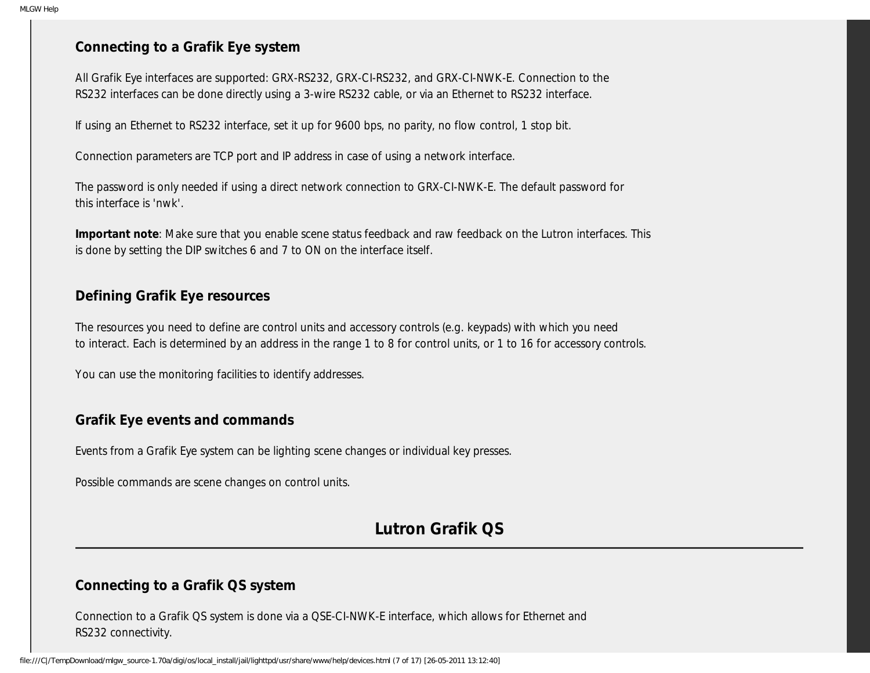#### **Connecting to a Grafik Eye system**

All Grafik Eye interfaces are supported: GRX-RS232, GRX-CI-RS232, and GRX-CI-NWK-E. Connection to the RS232 interfaces can be done directly using a 3-wire RS232 cable, or via an Ethernet to RS232 interface.

If using an Ethernet to RS232 interface, set it up for 9600 bps, no parity, no flow control, 1 stop bit.

Connection parameters are TCP port and IP address in case of using a network interface.

The password is only needed if using a direct network connection to GRX-CI-NWK-E. The default password for this interface is 'nwk'.

**Important note**: Make sure that you enable scene status feedback and raw feedback on the Lutron interfaces. This is done by setting the DIP switches 6 and 7 to ON on the interface itself.

### **Defining Grafik Eye resources**

The resources you need to define are control units and accessory controls (e.g. keypads) with which you need to interact. Each is determined by an address in the range 1 to 8 for control units, or 1 to 16 for accessory controls.

You can use the monitoring facilities to identify addresses.

#### **Grafik Eye events and commands**

Events from a Grafik Eye system can be lighting scene changes or individual key presses.

<span id="page-29-0"></span>Possible commands are scene changes on control units.

# **Lutron Grafik QS**

## **Connecting to a Grafik QS system**

Connection to a Grafik QS system is done via a QSE-CI-NWK-E interface, which allows for Ethernet and RS232 connectivity.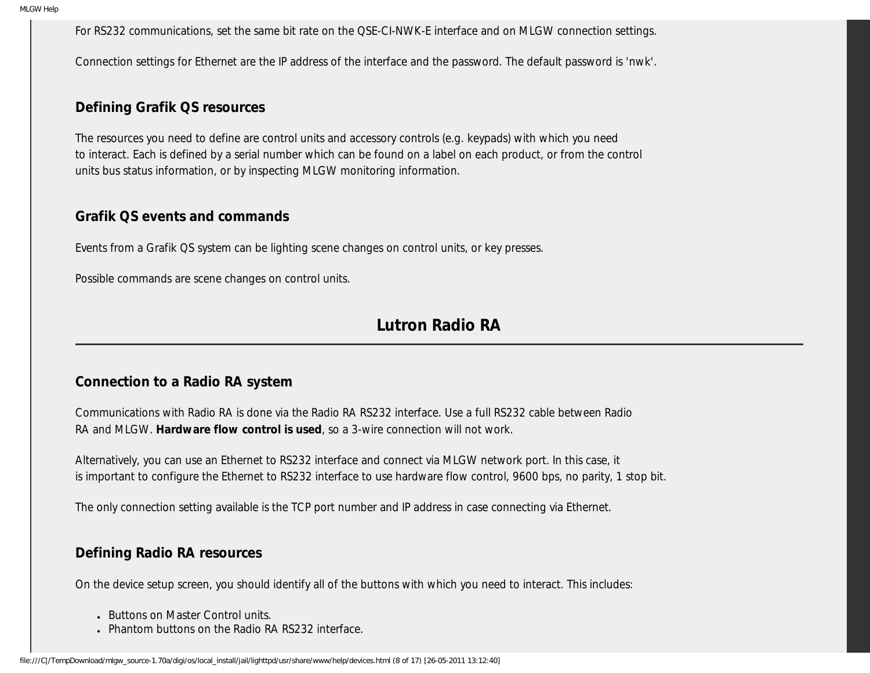For RS232 communications, set the same bit rate on the QSE-CI-NWK-E interface and on MLGW connection settings.

Connection settings for Ethernet are the IP address of the interface and the password. The default password is 'nwk'.

#### **Defining Grafik QS resources**

The resources you need to define are control units and accessory controls (e.g. keypads) with which you need to interact. Each is defined by a serial number which can be found on a label on each product, or from the control units bus status information, or by inspecting MLGW monitoring information.

### **Grafik QS events and commands**

Events from a Grafik QS system can be lighting scene changes on control units, or key presses.

<span id="page-30-0"></span>Possible commands are scene changes on control units.

## **Lutron Radio RA**

### **Connection to a Radio RA system**

Communications with Radio RA is done via the Radio RA RS232 interface. Use a full RS232 cable between Radio RA and MLGW. **Hardware flow control is used**, so a 3-wire connection will not work.

Alternatively, you can use an Ethernet to RS232 interface and connect via MLGW network port. In this case, it is important to configure the Ethernet to RS232 interface to use hardware flow control, 9600 bps, no parity, 1 stop bit.

The only connection setting available is the TCP port number and IP address in case connecting via Ethernet.

### **Defining Radio RA resources**

On the device setup screen, you should identify all of the buttons with which you need to interact. This includes:

- Buttons on Master Control units.
- Phantom buttons on the Radio RA RS232 interface.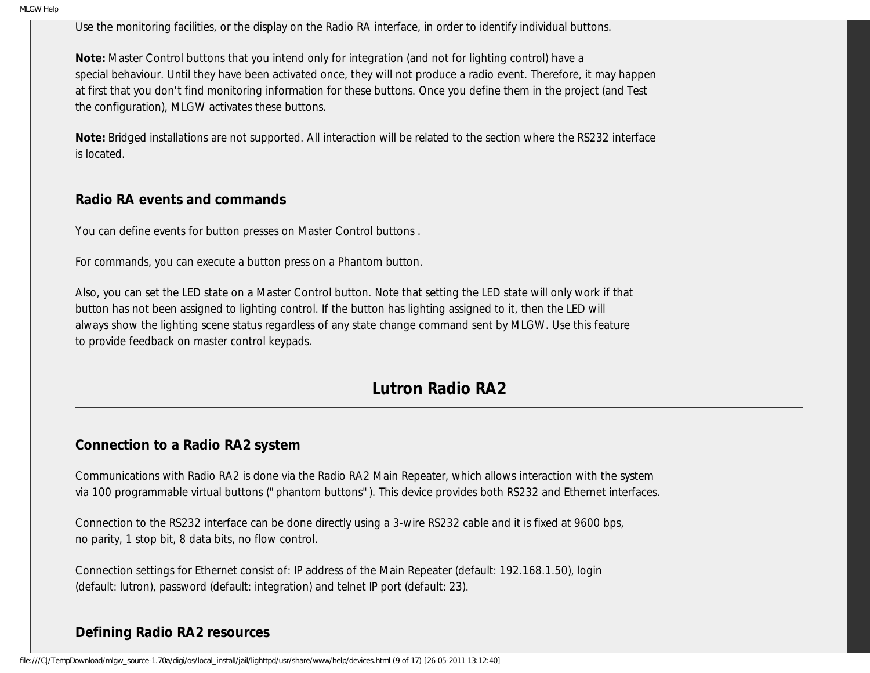Use the monitoring facilities, or the display on the Radio RA interface, in order to identify individual buttons.

**Note:** Master Control buttons that you intend only for integration (and not for lighting control) have a special behaviour. Until they have been activated once, they will not produce a radio event. Therefore, it may happen at first that you don't find monitoring information for these buttons. Once you define them in the project (and Test the configuration), MLGW activates these buttons.

**Note:** Bridged installations are not supported. All interaction will be related to the section where the RS232 interface is located.

### **Radio RA events and commands**

You can define events for button presses on Master Control buttons .

For commands, you can execute a button press on a Phantom button.

Also, you can set the LED state on a Master Control button. Note that setting the LED state will only work if that button has not been assigned to lighting control. If the button has lighting assigned to it, then the LED will always show the lighting scene status regardless of any state change command sent by MLGW. Use this feature to provide feedback on master control keypads.

# **Lutron Radio RA2**

#### <span id="page-31-0"></span>**Connection to a Radio RA2 system**

Communications with Radio RA2 is done via the Radio RA2 Main Repeater, which allows interaction with the system via 100 programmable virtual buttons ("phantom buttons"). This device provides both RS232 and Ethernet interfaces.

Connection to the RS232 interface can be done directly using a 3-wire RS232 cable and it is fixed at 9600 bps, no parity, 1 stop bit, 8 data bits, no flow control.

Connection settings for Ethernet consist of: IP address of the Main Repeater (default: 192.168.1.50), login (default: lutron), password (default: integration) and telnet IP port (default: 23).

## **Defining Radio RA2 resources**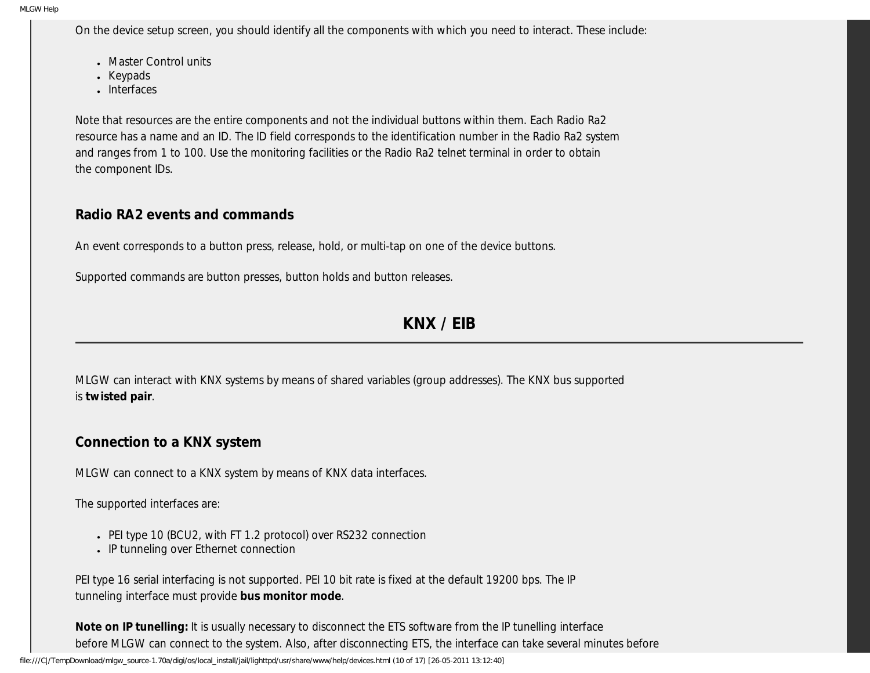On the device setup screen, you should identify all the components with which you need to interact. These include:

- Master Control units
- Keypads
- . Interfaces

Note that resources are the entire components and not the individual buttons within them. Each Radio Ra2 resource has a name and an ID. The ID field corresponds to the identification number in the Radio Ra2 system and ranges from 1 to 100. Use the monitoring facilities or the Radio Ra2 telnet terminal in order to obtain the component IDs.

### **Radio RA2 events and commands**

An event corresponds to a button press, release, hold, or multi-tap on one of the device buttons.

<span id="page-32-0"></span>Supported commands are button presses, button holds and button releases.

# **KNX / EIB**

MLGW can interact with KNX systems by means of shared variables (group addresses). The KNX bus supported is **twisted pair**.

## **Connection to a KNX system**

MLGW can connect to a KNX system by means of KNX data interfaces.

The supported interfaces are:

- PEI type 10 (BCU2, with FT 1.2 protocol) over RS232 connection
- IP tunneling over Ethernet connection

PEI type 16 serial interfacing is not supported. PEI 10 bit rate is fixed at the default 19200 bps. The IP tunneling interface must provide **bus monitor mode**.

**Note on IP tunelling:** It is usually necessary to disconnect the ETS software from the IP tunelling interface before MLGW can connect to the system. Also, after disconnecting ETS, the interface can take several minutes before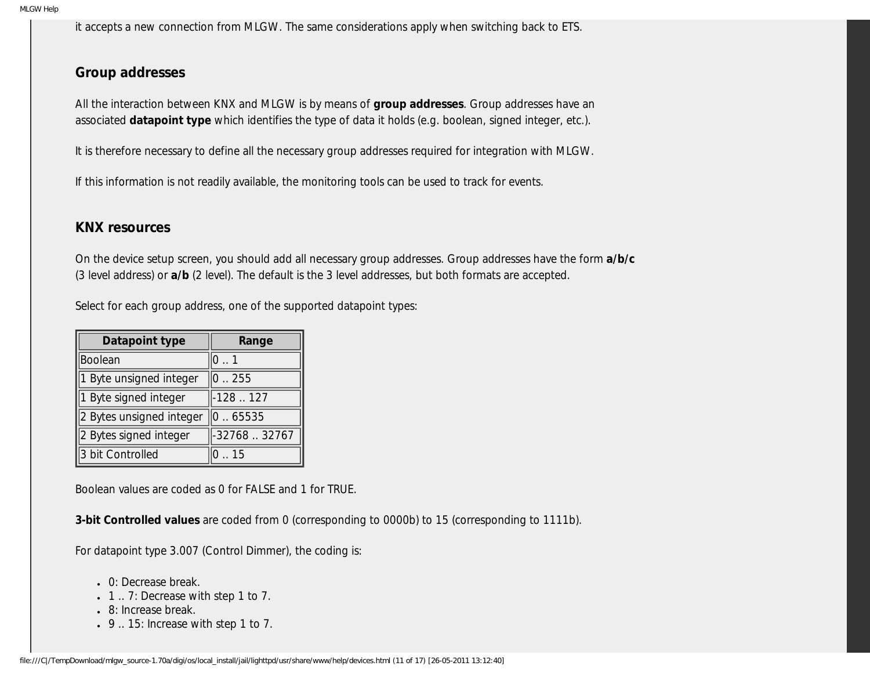it accepts a new connection from MLGW. The same considerations apply when switching back to ETS.

#### **Group addresses**

All the interaction between KNX and MLGW is by means of **group addresses**. Group addresses have an associated **datapoint type** which identifies the type of data it holds (e.g. boolean, signed integer, etc.).

It is therefore necessary to define all the necessary group addresses required for integration with MLGW.

If this information is not readily available, the monitoring tools can be used to track for events.

### **KNX resources**

On the device setup screen, you should add all necessary group addresses. Group addresses have the form **a/b/c** (3 level address) or **a/b** (2 level). The default is the 3 level addresses, but both formats are accepted.

Select for each group address, one of the supported datapoint types:

| Datapoint type                           | Range   |
|------------------------------------------|---------|
| <b>Boolean</b>                           |         |
| 1 Byte unsigned integer                  | 0.255   |
| 1 Byte signed integer<br>$-128.127$      |         |
| 2 Bytes unsigned integer                 | 0.65535 |
| 2 Bytes signed integer<br>$-32768.32767$ |         |
| 3 bit Controlled                         | -15     |

Boolean values are coded as 0 for FALSE and 1 for TRUE.

**3-bit Controlled values** are coded from 0 (corresponding to 0000b) to 15 (corresponding to 1111b).

For datapoint type 3.007 (Control Dimmer), the coding is:

- 0: Decrease break.
- 1 .. 7: Decrease with step 1 to 7.
- 8: Increase break.
- 9 .. 15: Increase with step 1 to 7.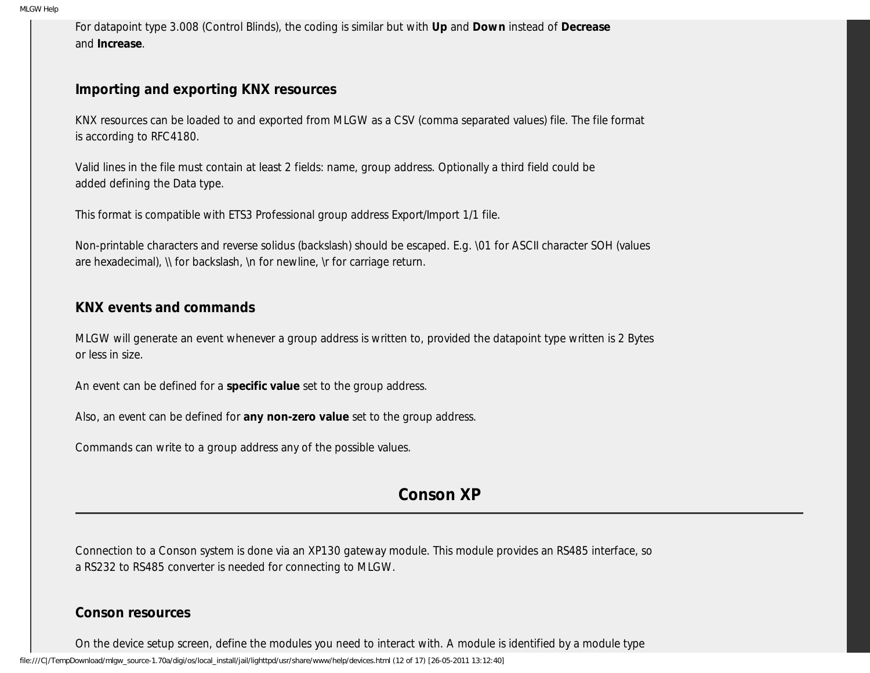For datapoint type 3.008 (Control Blinds), the coding is similar but with **Up** and **Down** instead of **Decrease** and **Increase**.

#### **Importing and exporting KNX resources**

KNX resources can be loaded to and exported from MLGW as a CSV (comma separated values) file. The file format is according to RFC4180.

Valid lines in the file must contain at least 2 fields: name, group address. Optionally a third field could be added defining the Data type.

This format is compatible with ETS3 Professional group address Export/Import 1/1 file.

Non-printable characters and reverse solidus (backslash) should be escaped. E.g. \01 for ASCII character SOH (values are hexadecimal), \\ for backslash, \n for newline, \r for carriage return.

### **KNX events and commands**

MLGW will generate an event whenever a group address is written to, provided the datapoint type written is 2 Bytes or less in size.

An event can be defined for a **specific value** set to the group address.

Also, an event can be defined for **any non-zero value** set to the group address.

<span id="page-34-0"></span>Commands can write to a group address any of the possible values.

# **Conson XP**

Connection to a Conson system is done via an XP130 gateway module. This module provides an RS485 interface, so a RS232 to RS485 converter is needed for connecting to MLGW.

#### **Conson resources**

On the device setup screen, define the modules you need to interact with. A module is identified by a module type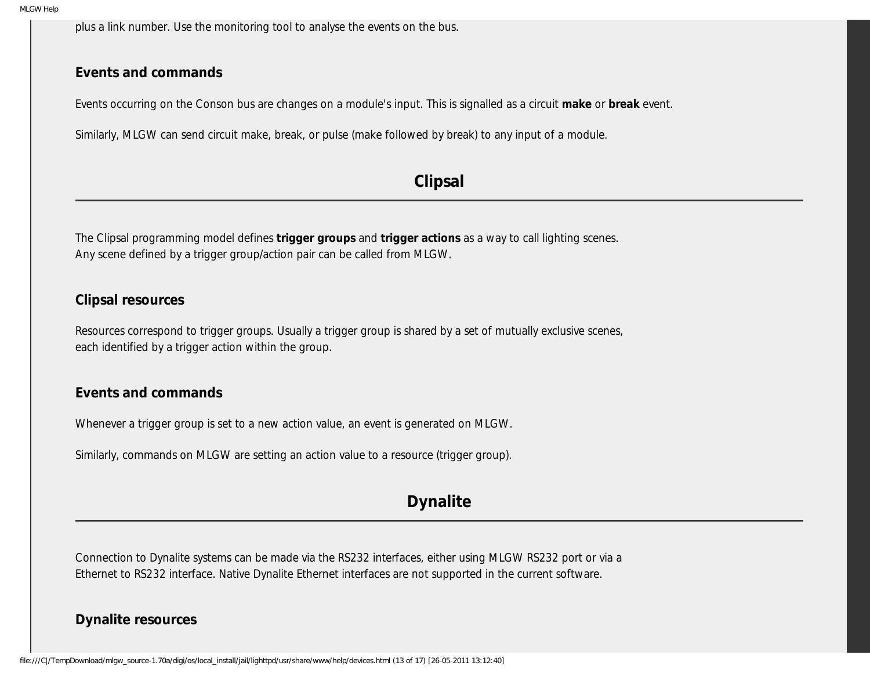plus a link number. Use the monitoring tool to analyse the events on the bus.

#### **Events and commands**

Events occurring on the Conson bus are changes on a module's input. This is signalled as a circuit **make** or **break** event.

<span id="page-35-0"></span>Similarly, MLGW can send circuit make, break, or pulse (make followed by break) to any input of a module.

## **Clipsal**

The Clipsal programming model defines **trigger groups** and **trigger actions** as a way to call lighting scenes. Any scene defined by a trigger group/action pair can be called from MLGW.

#### **Clipsal resources**

Resources correspond to trigger groups. Usually a trigger group is shared by a set of mutually exclusive scenes, each identified by a trigger action within the group.

#### **Events and commands**

Whenever a trigger group is set to a new action value, an event is generated on MLGW.

<span id="page-35-1"></span>Similarly, commands on MLGW are setting an action value to a resource (trigger group).

# **Dynalite**

Connection to Dynalite systems can be made via the RS232 interfaces, either using MLGW RS232 port or via a Ethernet to RS232 interface. Native Dynalite Ethernet interfaces are not supported in the current software.

#### **Dynalite resources**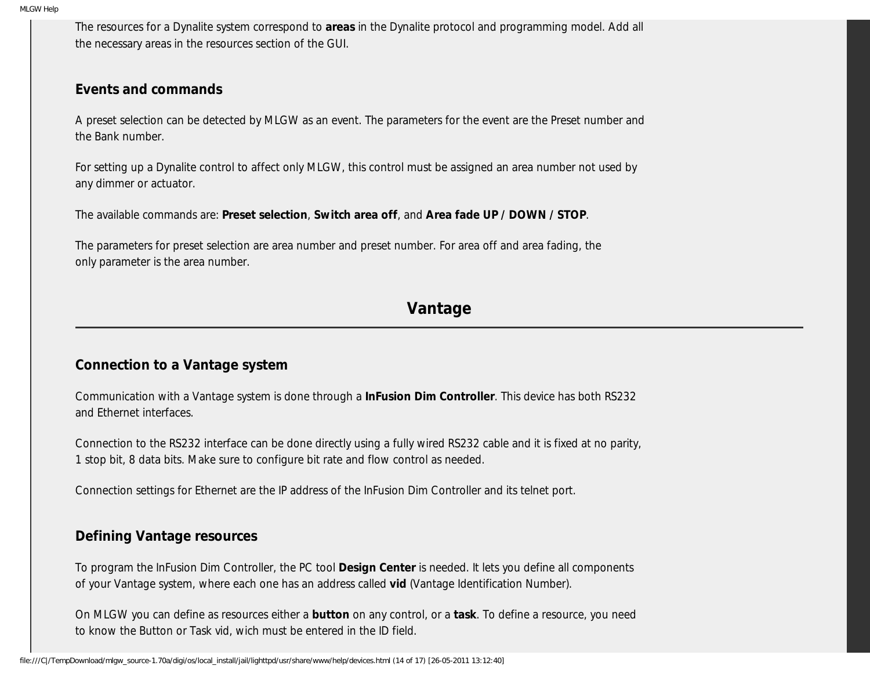The resources for a Dynalite system correspond to **areas** in the Dynalite protocol and programming model. Add all the necessary areas in the resources section of the GUI.

#### **Events and commands**

A preset selection can be detected by MLGW as an event. The parameters for the event are the Preset number and the Bank number.

For setting up a Dynalite control to affect only MLGW, this control must be assigned an area number not used by any dimmer or actuator.

The available commands are: **Preset selection**, **Switch area off**, and **Area fade UP / DOWN / STOP**.

<span id="page-36-0"></span>The parameters for preset selection are area number and preset number. For area off and area fading, the only parameter is the area number.

## **Vantage**

### **Connection to a Vantage system**

Communication with a Vantage system is done through a **InFusion Dim Controller**. This device has both RS232 and Ethernet interfaces.

Connection to the RS232 interface can be done directly using a fully wired RS232 cable and it is fixed at no parity, 1 stop bit, 8 data bits. Make sure to configure bit rate and flow control as needed.

Connection settings for Ethernet are the IP address of the InFusion Dim Controller and its telnet port.

#### **Defining Vantage resources**

To program the InFusion Dim Controller, the PC tool **Design Center** is needed. It lets you define all components of your Vantage system, where each one has an address called **vid** (Vantage Identification Number).

On MLGW you can define as resources either a **button** on any control, or a **task**. To define a resource, you need to know the Button or Task vid, wich must be entered in the ID field.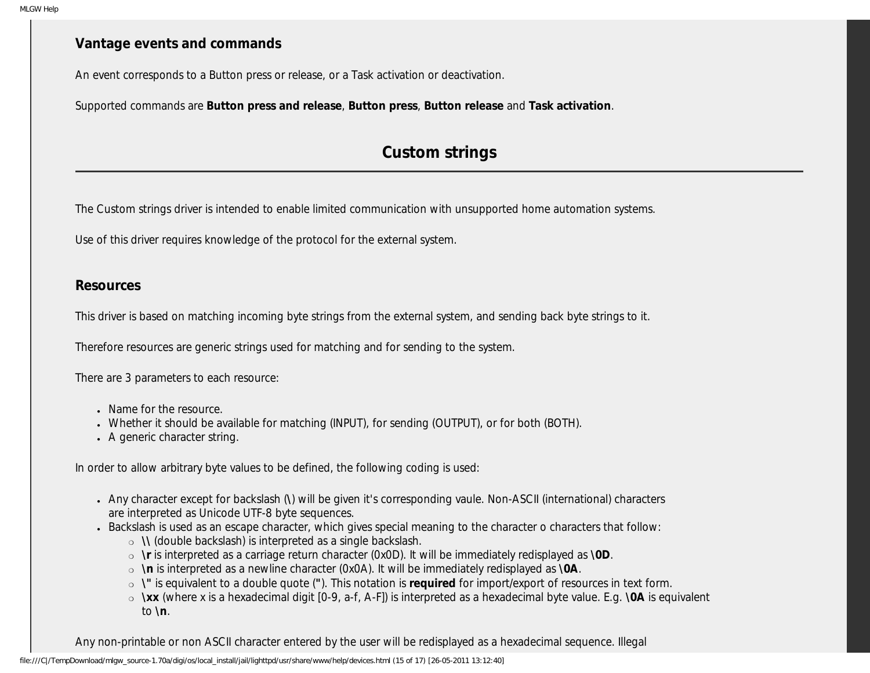### **Vantage events and commands**

An event corresponds to a Button press or release, or a Task activation or deactivation.

<span id="page-37-0"></span>Supported commands are **Button press and release**, **Button press**, **Button release** and **Task activation**.

# **Custom strings**

The Custom strings driver is intended to enable limited communication with unsupported home automation systems.

Use of this driver requires knowledge of the protocol for the external system.

#### **Resources**

This driver is based on matching incoming byte strings from the external system, and sending back byte strings to it.

Therefore resources are generic strings used for matching and for sending to the system.

There are 3 parameters to each resource:

- Name for the resource.
- Whether it should be available for matching (INPUT), for sending (OUTPUT), or for both (BOTH).
- A generic character string.

In order to allow arbitrary byte values to be defined, the following coding is used:

- Any character except for backslash (**\**) will be given it's corresponding vaule. Non-ASCII (international) characters are interpreted as Unicode UTF-8 byte sequences.
- Backslash is used as an escape character, which gives special meaning to the character o characters that follow:
	- ❍ **\\** (double backslash) is interpreted as a single backslash.
	- ❍ **\r** is interpreted as a carriage return character (0x0D). It will be immediately redisplayed as **\0D**.
	- ❍ **\n** is interpreted as a newline character (0x0A). It will be immediately redisplayed as **\0A**.
	- ❍ **\"** is equivalent to a double quote (**"**). This notation is **required** for import/export of resources in text form.
	- ❍ **\xx** (where x is a hexadecimal digit [0-9, a-f, A-F]) is interpreted as a hexadecimal byte value. E.g. **\0A** is equivalent to **\n**.

Any non-printable or non ASCII character entered by the user will be redisplayed as a hexadecimal sequence. Illegal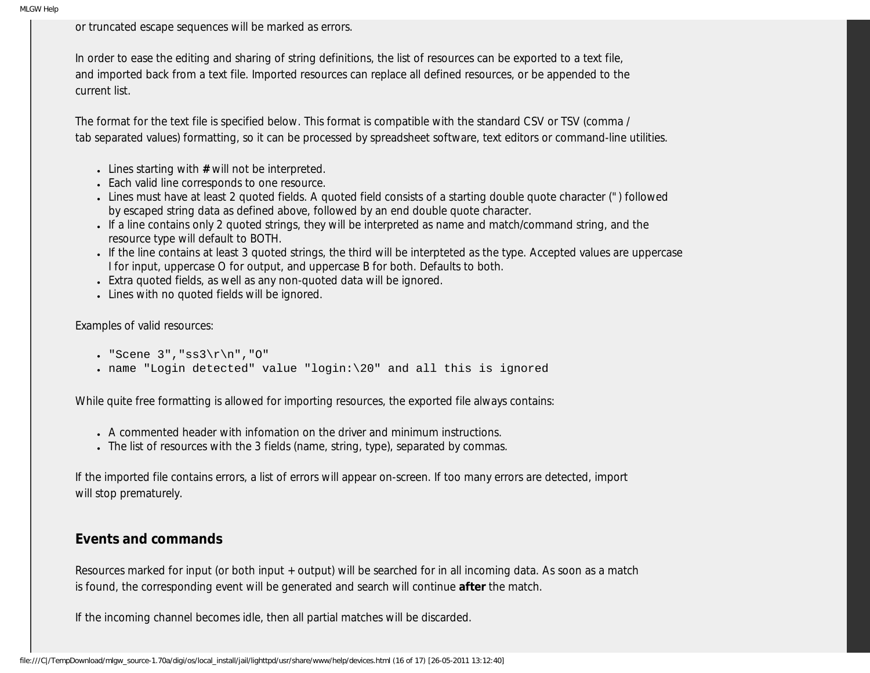or truncated escape sequences will be marked as errors.

In order to ease the editing and sharing of string definitions, the list of resources can be exported to a text file, and imported back from a text file. Imported resources can replace all defined resources, or be appended to the current list.

The format for the text file is specified below. This format is compatible with the standard CSV or TSV (comma / tab separated values) formatting, so it can be processed by spreadsheet software, text editors or command-line utilities.

- Lines starting with # will not be interpreted.
- Each valid line corresponds to one resource.
- Lines must have at least 2 quoted fields. A quoted field consists of a starting double quote character (") followed by escaped string data as defined above, followed by an end double quote character.
- If a line contains only 2 quoted strings, they will be interpreted as name and match/command string, and the resource type will default to BOTH.
- If the line contains at least 3 quoted strings, the third will be interpteted as the type. Accepted values are uppercase I for input, uppercase O for output, and uppercase B for both. Defaults to both.
- Extra quoted fields, as well as any non-quoted data will be ignored.
- Lines with no quoted fields will be ignored.

Examples of valid resources:

- "Scene  $3$ ", "ss $3\r\ln$ ", "O"
- name "Login detected" value "login:\20" and all this is ignored

While quite free formatting is allowed for importing resources, the exported file always contains:

- A commented header with infomation on the driver and minimum instructions.
- The list of resources with the 3 fields (name, string, type), separated by commas.

If the imported file contains errors, a list of errors will appear on-screen. If too many errors are detected, import will stop prematurely.

### **Events and commands**

Resources marked for input (or both input + output) will be searched for in all incoming data. As soon as a match is found, the corresponding event will be generated and search will continue **after** the match.

If the incoming channel becomes idle, then all partial matches will be discarded.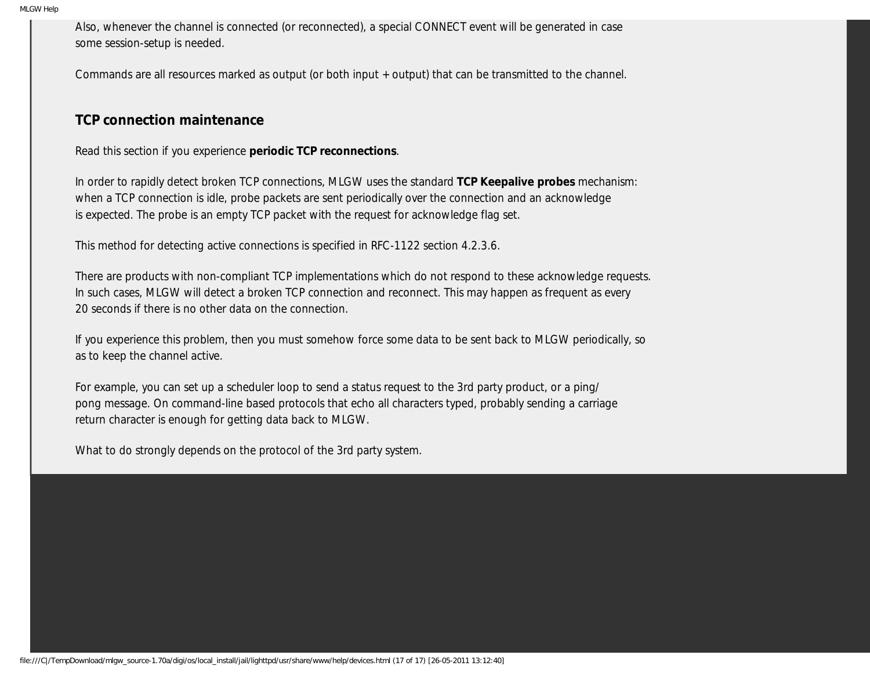Also, whenever the channel is connected (or reconnected), a special CONNECT event will be generated in case some session-setup is needed.

Commands are all resources marked as output (or both input + output) that can be transmitted to the channel.

### **TCP connection maintenance**

Read this section if you experience **periodic TCP reconnections**.

In order to rapidly detect broken TCP connections, MLGW uses the standard **TCP Keepalive probes** mechanism: when a TCP connection is idle, probe packets are sent periodically over the connection and an acknowledge is expected. The probe is an empty TCP packet with the request for acknowledge flag set.

This method for detecting active connections is specified in RFC-1122 section 4.2.3.6.

There are products with non-compliant TCP implementations which do not respond to these acknowledge requests. In such cases, MLGW will detect a broken TCP connection and reconnect. This may happen as frequent as every 20 seconds if there is no other data on the connection.

If you experience this problem, then you must somehow force some data to be sent back to MLGW periodically, so as to keep the channel active.

For example, you can set up a scheduler loop to send a status request to the 3rd party product, or a ping/ pong message. On command-line based protocols that echo all characters typed, probably sending a carriage return character is enough for getting data back to MLGW.

What to do strongly depends on the protocol of the 3rd party system.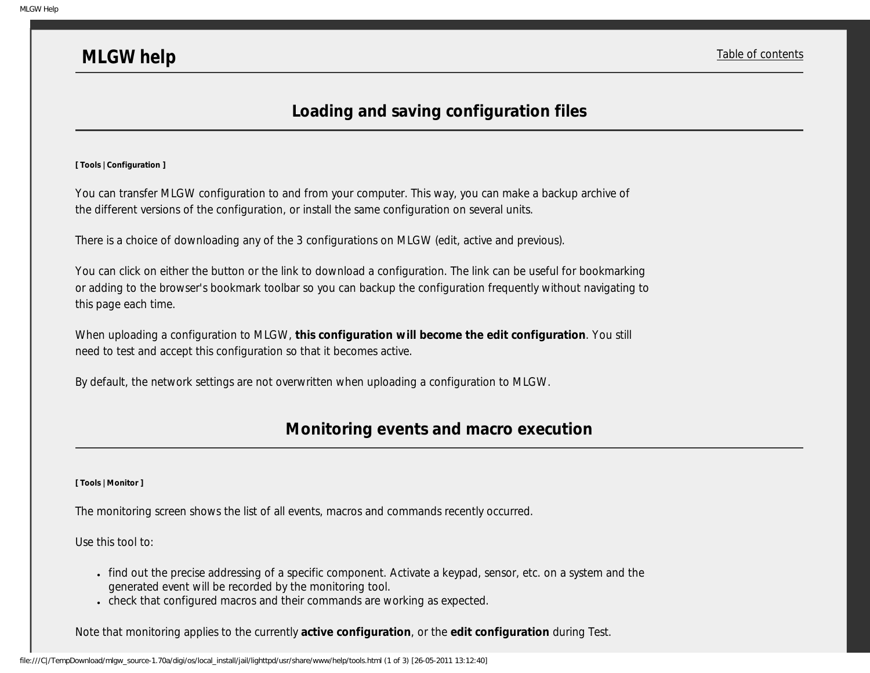## **Loading and saving configuration files**

<span id="page-40-1"></span><span id="page-40-0"></span>**[ Tools | Configuration ]**

You can transfer MLGW configuration to and from your computer. This way, you can make a backup archive of the different versions of the configuration, or install the same configuration on several units.

There is a choice of downloading any of the 3 configurations on MLGW (edit, active and previous).

You can click on either the button or the link to download a configuration. The link can be useful for bookmarking or adding to the browser's bookmark toolbar so you can backup the configuration frequently without navigating to this page each time.

When uploading a configuration to MLGW, **this configuration will become the edit configuration**. You still need to test and accept this configuration so that it becomes active.

<span id="page-40-2"></span>By default, the network settings are not overwritten when uploading a configuration to MLGW.

## **Monitoring events and macro execution**

#### **[ Tools | Monitor ]**

The monitoring screen shows the list of all events, macros and commands recently occurred.

Use this tool to:

- find out the precise addressing of a specific component. Activate a keypad, sensor, etc. on a system and the generated event will be recorded by the monitoring tool.
- check that configured macros and their commands are working as expected.

Note that monitoring applies to the currently **active configuration**, or the **edit configuration** during Test.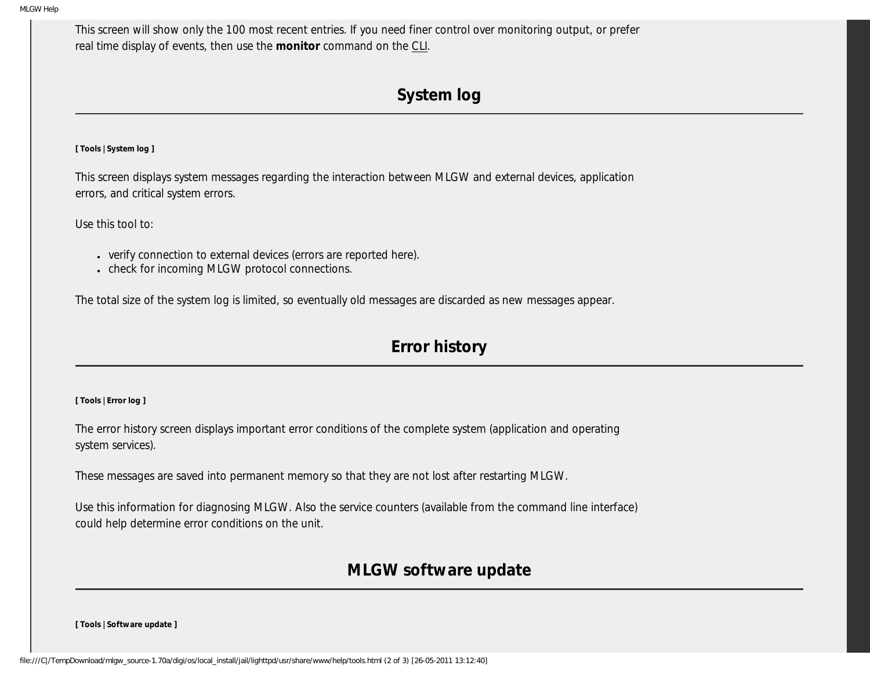<span id="page-41-0"></span>This screen will show only the 100 most recent entries. If you need finer control over monitoring output, or prefer real time display of events, then use the **monitor** command on the [CLI.](#page-45-0)

## **System log**

#### **[ Tools | System log ]**

This screen displays system messages regarding the interaction between MLGW and external devices, application errors, and critical system errors.

Use this tool to:

- verify connection to external devices (errors are reported here).
- check for incoming MLGW protocol connections.

<span id="page-41-1"></span>The total size of the system log is limited, so eventually old messages are discarded as new messages appear.

# **Error history**

#### **[ Tools | Error log ]**

The error history screen displays important error conditions of the complete system (application and operating system services).

These messages are saved into permanent memory so that they are not lost after restarting MLGW.

<span id="page-41-2"></span>Use this information for diagnosing MLGW. Also the service counters (available from the command line interface) could help determine error conditions on the unit.

# **MLGW software update**

**[ Tools | Software update ]**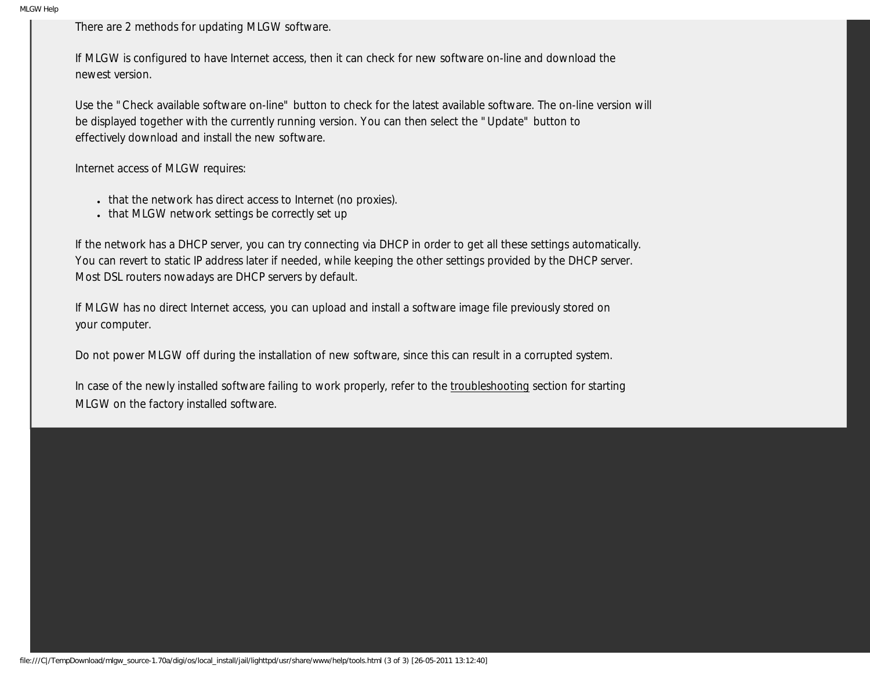There are 2 methods for updating MLGW software.

If MLGW is configured to have Internet access, then it can check for new software on-line and download the newest version.

Use the "Check available software on-line" button to check for the latest available software. The on-line version will be displayed together with the currently running version. You can then select the "Update" button to effectively download and install the new software.

Internet access of MLGW requires:

- that the network has direct access to Internet (no proxies).
- that MLGW network settings be correctly set up

If the network has a DHCP server, you can try connecting via DHCP in order to get all these settings automatically. You can revert to static IP address later if needed, while keeping the other settings provided by the DHCP server. Most DSL routers nowadays are DHCP servers by default.

If MLGW has no direct Internet access, you can upload and install a software image file previously stored on your computer.

Do not power MLGW off during the installation of new software, since this can result in a corrupted system.

In case of the newly installed software failing to work properly, refer to the [troubleshooting](#page-51-0) section for starting MLGW on the factory installed software.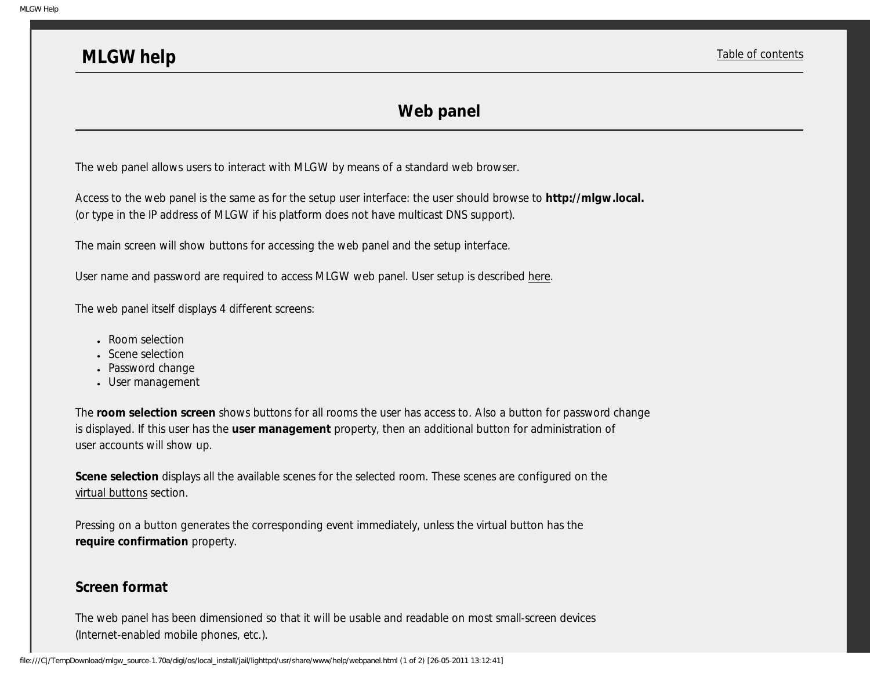## **Web panel**

<span id="page-43-0"></span>The web panel allows users to interact with MLGW by means of a standard web browser.

Access to the web panel is the same as for the setup user interface: the user should browse to **http://mlgw.local.** (or type in the IP address of MLGW if his platform does not have multicast DNS support).

The main screen will show buttons for accessing the web panel and the setup interface.

User name and password are required to access MLGW web panel. User setup is described [here.](#page-12-0)

The web panel itself displays 4 different screens:

- . Room selection
- Scene selection
- Password change
- User management

The **room selection screen** shows buttons for all rooms the user has access to. Also a button for password change is displayed. If this user has the **user management** property, then an additional button for administration of user accounts will show up.

**Scene selection** displays all the available scenes for the selected room. These scenes are configured on the [virtual buttons](#page-21-0) section.

Pressing on a button generates the corresponding event immediately, unless the virtual button has the **require confirmation** property.

#### **Screen format**

The web panel has been dimensioned so that it will be usable and readable on most small-screen devices (Internet-enabled mobile phones, etc.).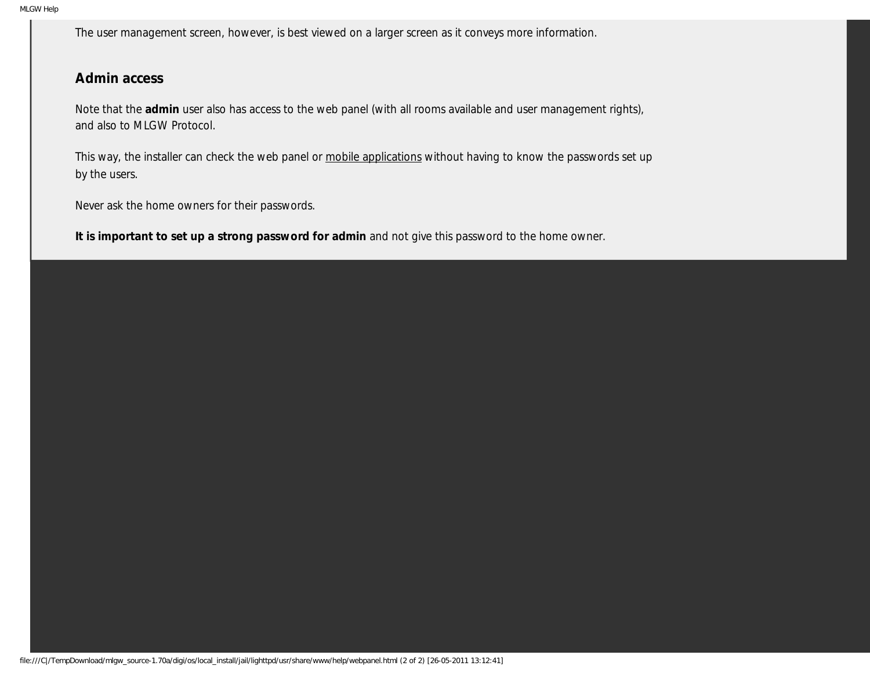The user management screen, however, is best viewed on a larger screen as it conveys more information.

#### **Admin access**

Note that the **admin** user also has access to the web panel (with all rooms available and user management rights), and also to MLGW Protocol.

This way, the installer can check the web panel or [mobile applications](#page-20-0) without having to know the passwords set up by the users.

Never ask the home owners for their passwords.

**It is important to set up a strong password for admin** and not give this password to the home owner.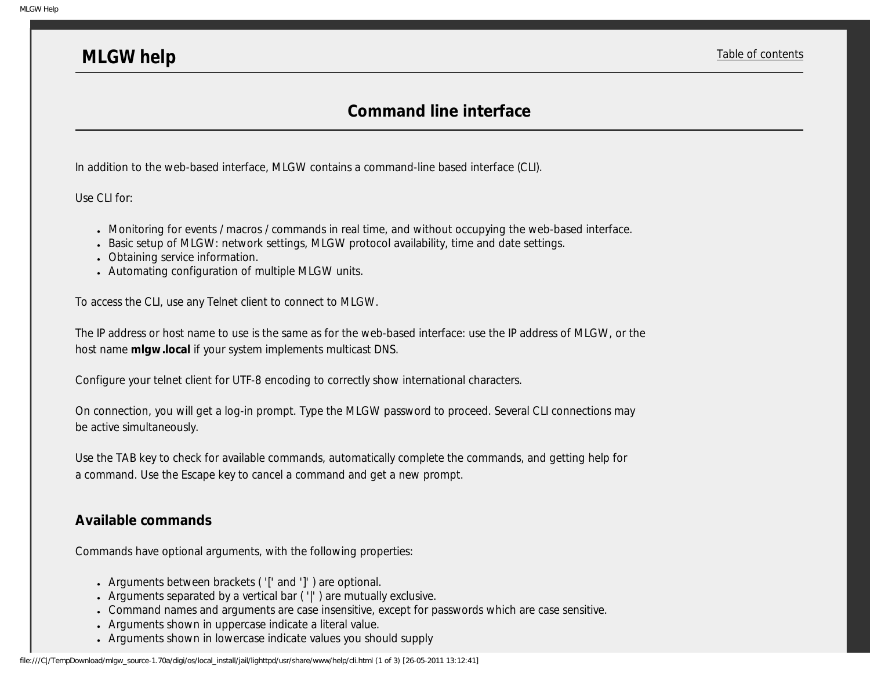## **Command line interface**

<span id="page-45-0"></span>In addition to the web-based interface, MLGW contains a command-line based interface (CLI).

Use CLI for:

- Monitoring for events / macros / commands in real time, and without occupying the web-based interface.
- Basic setup of MLGW: network settings, MLGW protocol availability, time and date settings.
- Obtaining service information.
- Automating configuration of multiple MLGW units.

To access the CLI, use any Telnet client to connect to MLGW.

The IP address or host name to use is the same as for the web-based interface: use the IP address of MLGW, or the host name **mlgw.local** if your system implements multicast DNS.

Configure your telnet client for UTF-8 encoding to correctly show international characters.

On connection, you will get a log-in prompt. Type the MLGW password to proceed. Several CLI connections may be active simultaneously.

Use the TAB key to check for available commands, automatically complete the commands, and getting help for a command. Use the Escape key to cancel a command and get a new prompt.

### **Available commands**

Commands have optional arguments, with the following properties:

- Arguments between brackets ('[' and ']' ) are optional.
- Arguments separated by a vertical bar ('|') are mutually exclusive.
- Command names and arguments are case insensitive, except for passwords which are case sensitive.
- Arguments shown in uppercase indicate a literal value.
- Arguments shown in lowercase indicate values you should supply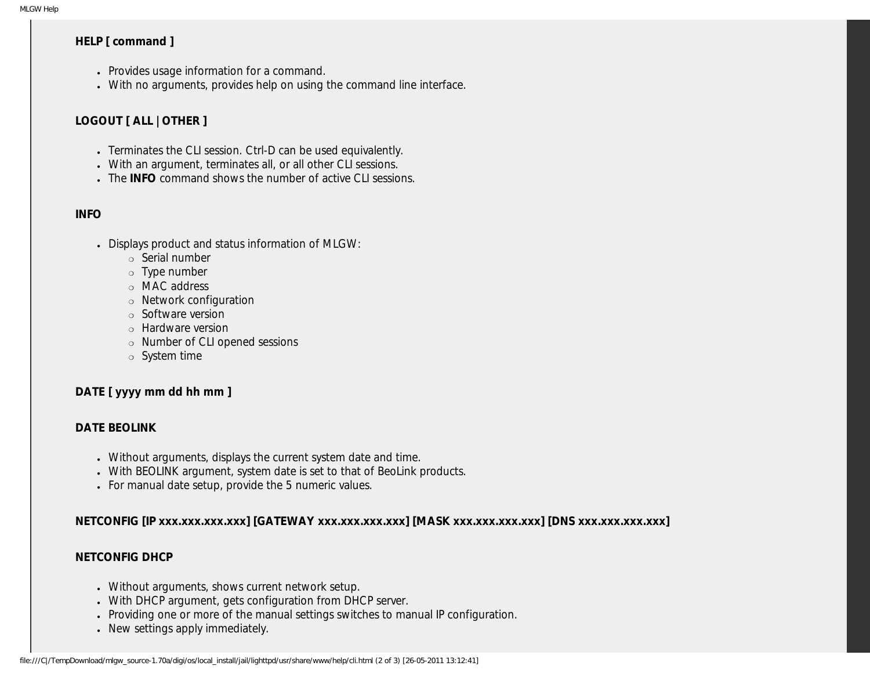#### **HELP [ command ]**

- Provides usage information for a command.
- With no arguments, provides help on using the command line interface.

#### **LOGOUT [ ALL | OTHER ]**

- Terminates the CLI session. Ctrl-D can be used equivalently.
- With an argument, terminates all, or all other CLI sessions.
- The **INFO** command shows the number of active CLI sessions.

#### **INFO**

- Displays product and status information of MLGW:
	- ❍ Serial number
	- ❍ Type number
	- ❍ MAC address
	- ❍ Network configuration
	- ❍ Software version
	- ❍ Hardware version
	- ❍ Number of CLI opened sessions
	- ❍ System time

#### **DATE [ yyyy mm dd hh mm ]**

#### **DATE BEOLINK**

- Without arguments, displays the current system date and time.
- With BEOLINK argument, system date is set to that of BeoLink products.
- For manual date setup, provide the 5 numeric values.

#### **NETCONFIG [IP xxx.xxx.xxx.xxx] [GATEWAY xxx.xxx.xxx.xxx] [MASK xxx.xxx.xxx.xxx] [DNS xxx.xxx.xxx.xxx]**

#### **NETCONFIG DHCP**

- Without arguments, shows current network setup.
- With DHCP argument, gets configuration from DHCP server.
- Providing one or more of the manual settings switches to manual IP configuration.
- New settings apply immediately.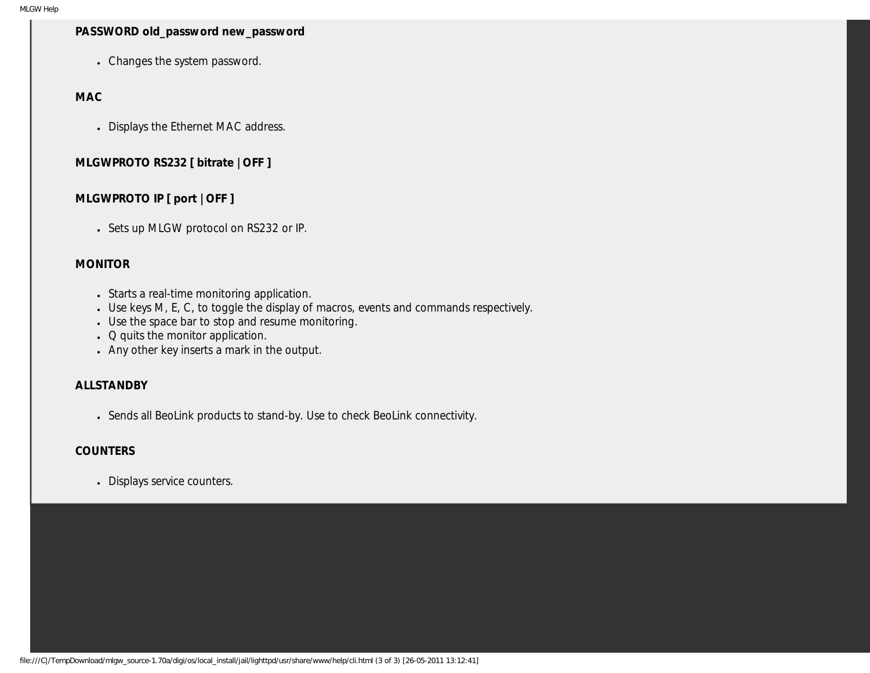#### **PASSWORD old\_password new\_password**

• Changes the system password.

#### **MAC**

• Displays the Ethernet MAC address.

### **MLGWPROTO RS232 [ bitrate | OFF ]**

### **MLGWPROTO IP [ port | OFF ]**

• Sets up MLGW protocol on RS232 or IP.

#### **MONITOR**

- Starts a real-time monitoring application.
- Use keys M, E, C, to toggle the display of macros, events and commands respectively.
- Use the space bar to stop and resume monitoring.
- $\bullet$  Q quits the monitor application.
- Any other key inserts a mark in the output.

### **ALLSTANDBY**

- Sends all BeoLink products to stand-by. Use to check BeoLink connectivity.

### **COUNTERS**

• Displays service counters.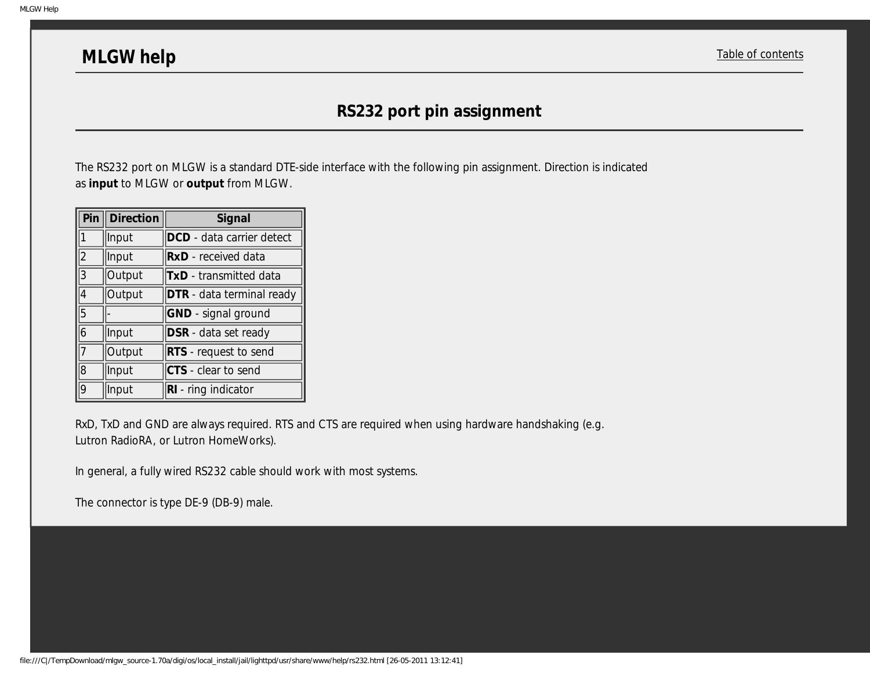## **RS232 port pin assignment**

<span id="page-48-0"></span>The RS232 port on MLGW is a standard DTE-side interface with the following pin assignment. Direction is indicated as **input** to MLGW or **output** from MLGW.

|                 | $\text{Pin}$ Direction | Signal                           |
|-----------------|------------------------|----------------------------------|
| 11              | Input                  | DCD - data carrier detect        |
| 2               | Input                  | RxD - received data              |
| $\overline{3}$  | Output                 | TxD - transmitted data           |
| $\vert 4 \vert$ | Output                 | <b>DTR</b> - data terminal ready |
| $\overline{5}$  |                        | <b>GND</b> - signal ground       |
| 6               | Input                  | <b>DSR</b> - data set ready      |
| 7               | Output                 | RTS - request to send            |
| 8               | Input                  | CTS - clear to send              |
| 9               | Input                  | <b>RI</b> - ring indicator       |

RxD, TxD and GND are always required. RTS and CTS are required when using hardware handshaking (e.g. Lutron RadioRA, or Lutron HomeWorks).

In general, a fully wired RS232 cable should work with most systems.

The connector is type DE-9 (DB-9) male.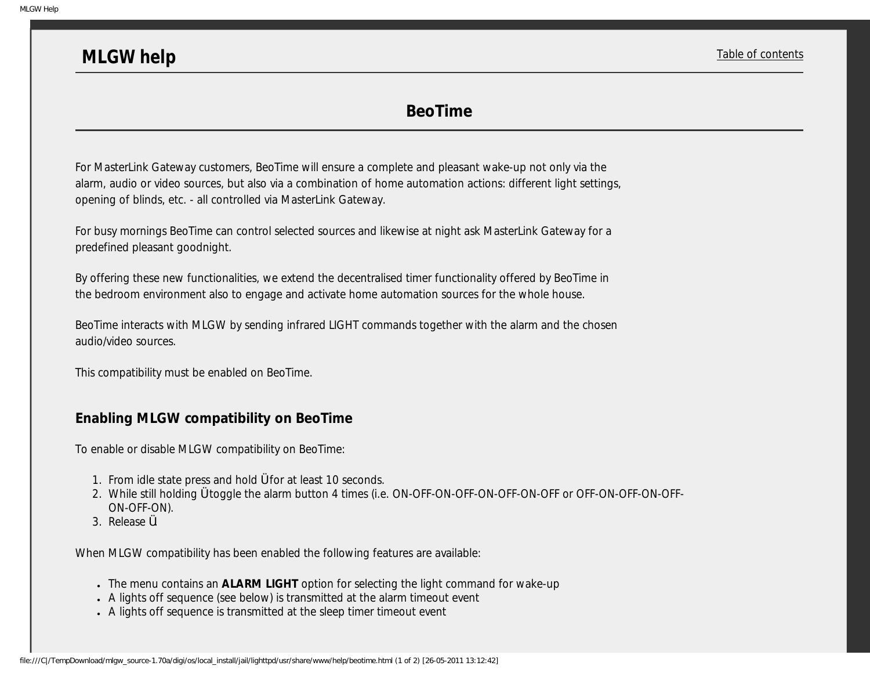## **BeoTime**

<span id="page-49-0"></span>For MasterLink Gateway customers, BeoTime will ensure a complete and pleasant wake-up not only via the alarm, audio or video sources, but also via a combination of home automation actions: different light settings, opening of blinds, etc. - all controlled via MasterLink Gateway.

For busy mornings BeoTime can control selected sources and likewise at night ask MasterLink Gateway for a predefined pleasant goodnight.

By offering these new functionalities, we extend the decentralised timer functionality offered by BeoTime in the bedroom environment also to engage and activate home automation sources for the whole house.

BeoTime interacts with MLGW by sending infrared LIGHT commands together with the alarm and the chosen audio/video sources.

This compatibility must be enabled on BeoTime.

#### **Enabling MLGW compatibility on BeoTime**

To enable or disable MLGW compatibility on BeoTime:

- 1. From idle state press and hold ö for at least 10 seconds.
- 2. While still holding ö toggle the alarm button 4 times (i.e. ON-OFF-ON-OFF-ON-OFF-ON-OFF or OFF-ON-OFF-ON-OFF-ON-OFF-ON).
- 3. Release Ü.

When MLGW compatibility has been enabled the following features are available:

- The menu contains an **ALARM LIGHT** option for selecting the light command for wake-up
- A lights off sequence (see below) is transmitted at the alarm timeout event
- A lights off sequence is transmitted at the sleep timer timeout event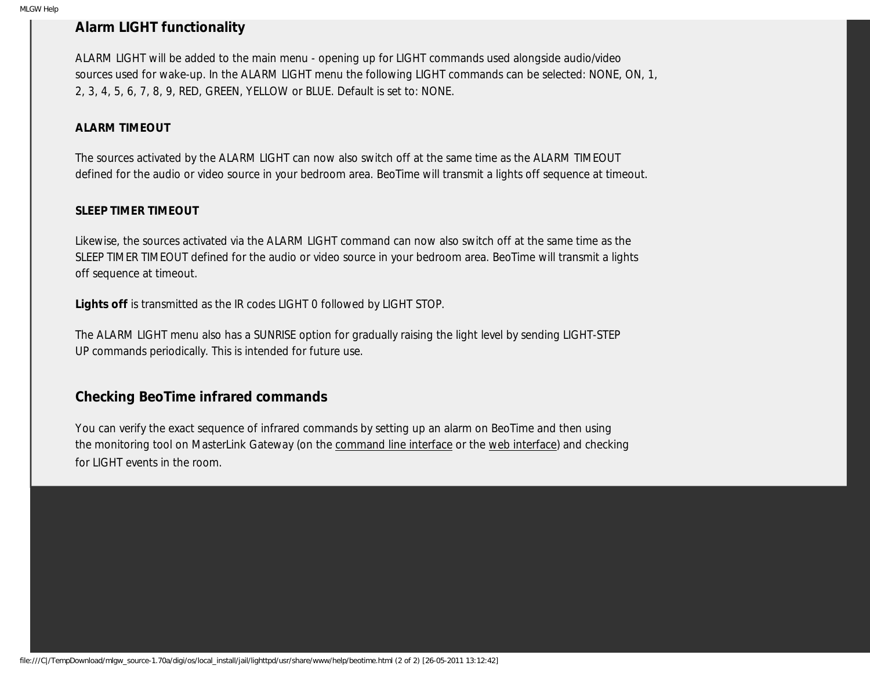### **Alarm LIGHT functionality**

ALARM LIGHT will be added to the main menu - opening up for LIGHT commands used alongside audio/video sources used for wake-up. In the ALARM LIGHT menu the following LIGHT commands can be selected: NONE, ON, 1, 2, 3, 4, 5, 6, 7, 8, 9, RED, GREEN, YELLOW or BLUE. Default is set to: NONE.

#### **ALARM TIMEOUT**

The sources activated by the ALARM LIGHT can now also switch off at the same time as the ALARM TIMEOUT defined for the audio or video source in your bedroom area. BeoTime will transmit a lights off sequence at timeout.

#### **SLEEP TIMER TIMEOUT**

Likewise, the sources activated via the ALARM LIGHT command can now also switch off at the same time as the SLEEP TIMER TIMEOUT defined for the audio or video source in your bedroom area. BeoTime will transmit a lights off sequence at timeout.

**Lights off** is transmitted as the IR codes LIGHT 0 followed by LIGHT STOP.

The ALARM LIGHT menu also has a SUNRISE option for gradually raising the light level by sending LIGHT-STEP UP commands periodically. This is intended for future use.

### **Checking BeoTime infrared commands**

You can verify the exact sequence of infrared commands by setting up an alarm on BeoTime and then using the monitoring tool on MasterLink Gateway (on the [command line interface](#page-45-0) or the [web interface\)](#page-40-2) and checking for LIGHT events in the room.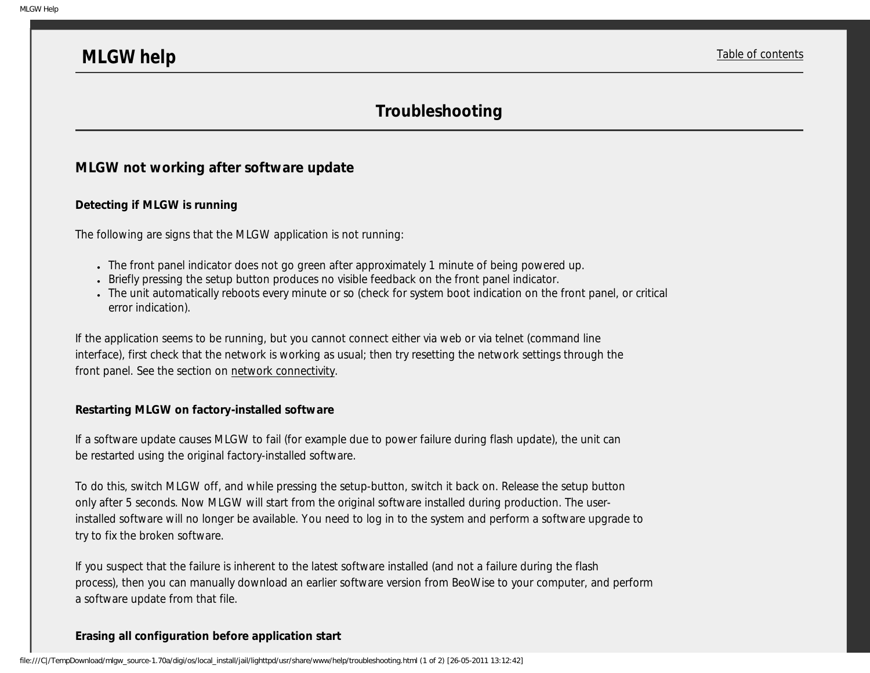## **Troubleshooting**

#### <span id="page-51-0"></span>**MLGW not working after software update**

#### **Detecting if MLGW is running**

The following are signs that the MLGW application is not running:

- The front panel indicator does not go green after approximately 1 minute of being powered up.
- Briefly pressing the setup button produces no visible feedback on the front panel indicator.
- The unit automatically reboots every minute or so (check for system boot indication on the front panel, or critical error indication).

If the application seems to be running, but you cannot connect either via web or via telnet (command line interface), first check that the network is working as usual; then try resetting the network settings through the front panel. See the section on [network connectivity.](#page-8-0)

#### **Restarting MLGW on factory-installed software**

If a software update causes MLGW to fail (for example due to power failure during flash update), the unit can be restarted using the original factory-installed software.

To do this, switch MLGW off, and while pressing the setup-button, switch it back on. Release the setup button only after 5 seconds. Now MLGW will start from the original software installed during production. The userinstalled software will no longer be available. You need to log in to the system and perform a software upgrade to try to fix the broken software.

If you suspect that the failure is inherent to the latest software installed (and not a failure during the flash process), then you can manually download an earlier software version from BeoWise to your computer, and perform a software update from that file.

#### **Erasing all configuration before application start**